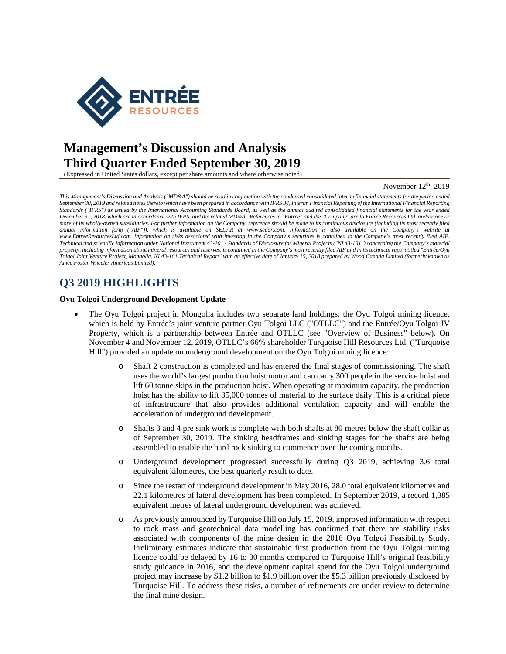

# **Management's Discussion and Analysis Third Quarter Ended September 30, 2019**

(Expressed in United States dollars, except per share amounts and where otherwise noted)

#### November  $12<sup>th</sup>$ , 2019

*This Management's Discussion and Analysis ("MD&A") should be read in conjunction with the condensed consolidated interim financial statements for the period ended September 30, 2019 and related notes thereto which have been prepared in accordance with IFRS 34, Interim Financial Reporting of the International Financial Reporting Standards ("IFRS") as issued by the International Accounting Standards Board, as well as the annual audited consolidated financial statements for the year ended December 31, 2018, which are in accordance with IFRS, and the related MD&A. References to "Entrée" and the "Company" are to Entrée Resources Ltd. and/or one or more of its wholly-owned subsidiaries. For further information on the Company, reference should be made to its continuous disclosure (including its most recently filed annual information form ("AIF")), which is available on SEDAR at www.sedar.com. Information is also available on the Company's website at www.EntreeResourcesLtd.com. Information on risks associated with investing in the Company's securities is contained in the Company's most recently filed AIF. Technical and scientific information under National Instrument 43-101 - Standards of Disclosure for Mineral Projects ("NI 43-101") concerning the Company's material property, including information about mineral resources and reserves, is contained in the Company's most recently filed AIF and in its technical report titled "Entrée/Oyu Tolgoi Joint Venture Project, Mongolia, NI 43-101 Technical Report" with an effective date of January 15, 2018 prepared by Wood Canada Limited (formerly known as Amec Foster Wheeler Americas Limited).* 

# **Q3 2019 HIGHLIGHTS**

#### **Oyu Tolgoi Underground Development Update**

- The Oyu Tolgoi project in Mongolia includes two separate land holdings: the Oyu Tolgoi mining licence, which is held by Entrée's joint venture partner Oyu Tolgoi LLC ("OTLLC") and the Entrée/Oyu Tolgoi JV Property, which is a partnership between Entrée and OTLLC (see "Overview of Business" below). On November 4 and November 12, 2019, OTLLC's 66% shareholder Turquoise Hill Resources Ltd. ("Turquoise Hill") provided an update on underground development on the Oyu Tolgoi mining licence:
	- o Shaft 2 construction is completed and has entered the final stages of commissioning. The shaft uses the world's largest production hoist motor and can carry 300 people in the service hoist and lift 60 tonne skips in the production hoist. When operating at maximum capacity, the production hoist has the ability to lift 35,000 tonnes of material to the surface daily. This is a critical piece of infrastructure that also provides additional ventilation capacity and will enable the acceleration of underground development.
	- o Shafts 3 and 4 pre sink work is complete with both shafts at 80 metres below the shaft collar as of September 30, 2019. The sinking headframes and sinking stages for the shafts are being assembled to enable the hard rock sinking to commence over the coming months.
	- o Underground development progressed successfully during Q3 2019, achieving 3.6 total equivalent kilometres, the best quarterly result to date.
	- o Since the restart of underground development in May 2016, 28.0 total equivalent kilometres and 22.1 kilometres of lateral development has been completed. In September 2019, a record 1,385 equivalent metres of lateral underground development was achieved.
	- o As previously announced by Turquoise Hill on July 15, 2019, improved information with respect to rock mass and geotechnical data modelling has confirmed that there are stability risks associated with components of the mine design in the 2016 Oyu Tolgoi Feasibility Study. Preliminary estimates indicate that sustainable first production from the Oyu Tolgoi mining licence could be delayed by 16 to 30 months compared to Turquoise Hill's original feasibility study guidance in 2016, and the development capital spend for the Oyu Tolgoi underground project may increase by \$1.2 billion to \$1.9 billion over the \$5.3 billion previously disclosed by Turquoise Hill. To address these risks, a number of refinements are under review to determine the final mine design.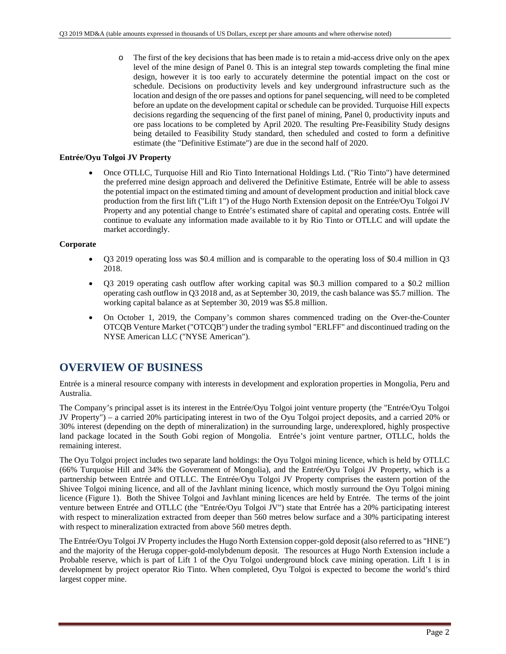o The first of the key decisions that has been made is to retain a mid-access drive only on the apex level of the mine design of Panel 0. This is an integral step towards completing the final mine design, however it is too early to accurately determine the potential impact on the cost or schedule. Decisions on productivity levels and key underground infrastructure such as the location and design of the ore passes and options for panel sequencing, will need to be completed before an update on the development capital or schedule can be provided. Turquoise Hill expects decisions regarding the sequencing of the first panel of mining, Panel 0, productivity inputs and ore pass locations to be completed by April 2020. The resulting Pre-Feasibility Study designs being detailed to Feasibility Study standard, then scheduled and costed to form a definitive estimate (the "Definitive Estimate") are due in the second half of 2020.

### **Entrée/Oyu Tolgoi JV Property**

 Once OTLLC, Turquoise Hill and Rio Tinto International Holdings Ltd. ("Rio Tinto") have determined the preferred mine design approach and delivered the Definitive Estimate, Entrée will be able to assess the potential impact on the estimated timing and amount of development production and initial block cave production from the first lift ("Lift 1") of the Hugo North Extension deposit on the Entrée/Oyu Tolgoi JV Property and any potential change to Entrée's estimated share of capital and operating costs. Entrée will continue to evaluate any information made available to it by Rio Tinto or OTLLC and will update the market accordingly.

### **Corporate**

- Q3 2019 operating loss was \$0.4 million and is comparable to the operating loss of \$0.4 million in Q3 2018.
- Q3 2019 operating cash outflow after working capital was \$0.3 million compared to a \$0.2 million operating cash outflow in Q3 2018 and, as at September 30, 2019, the cash balance was \$5.7 million. The working capital balance as at September 30, 2019 was \$5.8 million.
- On October 1, 2019, the Company's common shares commenced trading on the Over-the-Counter OTCQB Venture Market ("OTCQB") under the trading symbol "ERLFF" and discontinued trading on the NYSE American LLC ("NYSE American").

## **OVERVIEW OF BUSINESS**

Entrée is a mineral resource company with interests in development and exploration properties in Mongolia, Peru and Australia.

The Company's principal asset is its interest in the Entrée/Oyu Tolgoi joint venture property (the "Entrée/Oyu Tolgoi JV Property") – a carried 20% participating interest in two of the Oyu Tolgoi project deposits, and a carried 20% or 30% interest (depending on the depth of mineralization) in the surrounding large, underexplored, highly prospective land package located in the South Gobi region of Mongolia. Entrée's joint venture partner, OTLLC, holds the remaining interest.

The Oyu Tolgoi project includes two separate land holdings: the Oyu Tolgoi mining licence, which is held by OTLLC (66% Turquoise Hill and 34% the Government of Mongolia), and the Entrée/Oyu Tolgoi JV Property, which is a partnership between Entrée and OTLLC. The Entrée/Oyu Tolgoi JV Property comprises the eastern portion of the Shivee Tolgoi mining licence, and all of the Javhlant mining licence, which mostly surround the Oyu Tolgoi mining licence (Figure 1). Both the Shivee Tolgoi and Javhlant mining licences are held by Entrée. The terms of the joint venture between Entrée and OTLLC (the "Entrée/Oyu Tolgoi JV") state that Entrée has a 20% participating interest with respect to mineralization extracted from deeper than 560 metres below surface and a 30% participating interest with respect to mineralization extracted from above 560 metres depth.

The Entrée/Oyu Tolgoi JV Property includes the Hugo North Extension copper-gold deposit (also referred to as "HNE") and the majority of the Heruga copper-gold-molybdenum deposit. The resources at Hugo North Extension include a Probable reserve, which is part of Lift 1 of the Oyu Tolgoi underground block cave mining operation. Lift 1 is in development by project operator Rio Tinto. When completed, Oyu Tolgoi is expected to become the world's third largest copper mine.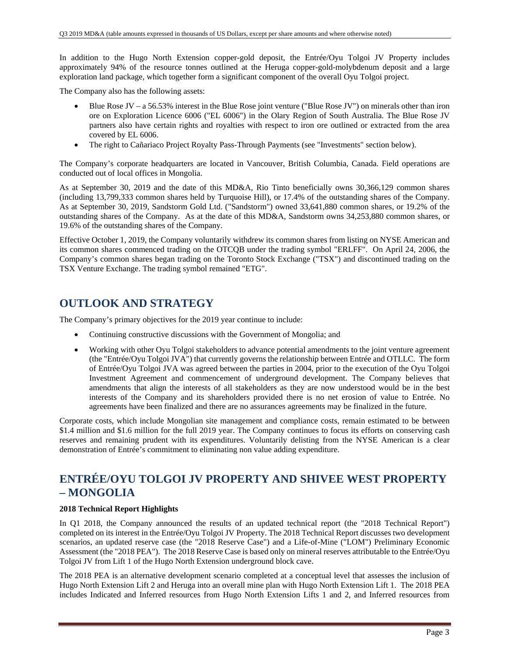In addition to the Hugo North Extension copper-gold deposit, the Entrée/Oyu Tolgoi JV Property includes approximately 94% of the resource tonnes outlined at the Heruga copper-gold-molybdenum deposit and a large exploration land package, which together form a significant component of the overall Oyu Tolgoi project.

The Company also has the following assets:

- Blue Rose JV a 56.53% interest in the Blue Rose joint venture ("Blue Rose JV") on minerals other than iron ore on Exploration Licence 6006 ("EL 6006") in the Olary Region of South Australia. The Blue Rose JV partners also have certain rights and royalties with respect to iron ore outlined or extracted from the area covered by EL 6006.
- The right to Cañariaco Project Royalty Pass-Through Payments (see "Investments" section below).

The Company's corporate headquarters are located in Vancouver, British Columbia, Canada. Field operations are conducted out of local offices in Mongolia.

As at September 30, 2019 and the date of this MD&A, Rio Tinto beneficially owns 30,366,129 common shares (including 13,799,333 common shares held by Turquoise Hill), or 17.4% of the outstanding shares of the Company. As at September 30, 2019, Sandstorm Gold Ltd. ("Sandstorm") owned 33,641,880 common shares, or 19.2% of the outstanding shares of the Company. As at the date of this MD&A, Sandstorm owns 34,253,880 common shares, or 19.6% of the outstanding shares of the Company.

Effective October 1, 2019, the Company voluntarily withdrew its common shares from listing on NYSE American and its common shares commenced trading on the OTCQB under the trading symbol "ERLFF". On April 24, 2006, the Company's common shares began trading on the Toronto Stock Exchange ("TSX") and discontinued trading on the TSX Venture Exchange. The trading symbol remained "ETG".

# **OUTLOOK AND STRATEGY**

The Company's primary objectives for the 2019 year continue to include:

- Continuing constructive discussions with the Government of Mongolia; and
- Working with other Oyu Tolgoi stakeholders to advance potential amendments to the joint venture agreement (the "Entrée/Oyu Tolgoi JVA") that currently governs the relationship between Entrée and OTLLC. The form of Entrée/Oyu Tolgoi JVA was agreed between the parties in 2004, prior to the execution of the Oyu Tolgoi Investment Agreement and commencement of underground development. The Company believes that amendments that align the interests of all stakeholders as they are now understood would be in the best interests of the Company and its shareholders provided there is no net erosion of value to Entrée. No agreements have been finalized and there are no assurances agreements may be finalized in the future.

Corporate costs, which include Mongolian site management and compliance costs, remain estimated to be between \$1.4 million and \$1.6 million for the full 2019 year. The Company continues to focus its efforts on conserving cash reserves and remaining prudent with its expenditures. Voluntarily delisting from the NYSE American is a clear demonstration of Entrée's commitment to eliminating non value adding expenditure.

# **ENTRÉE/OYU TOLGOI JV PROPERTY AND SHIVEE WEST PROPERTY – MONGOLIA**

## **2018 Technical Report Highlights**

In Q1 2018, the Company announced the results of an updated technical report (the "2018 Technical Report") completed on its interest in the Entrée/Oyu Tolgoi JV Property. The 2018 Technical Report discusses two development scenarios, an updated reserve case (the "2018 Reserve Case") and a Life-of-Mine ("LOM") Preliminary Economic Assessment (the "2018 PEA"). The 2018 Reserve Case is based only on mineral reserves attributable to the Entrée/Oyu Tolgoi JV from Lift 1 of the Hugo North Extension underground block cave.

The 2018 PEA is an alternative development scenario completed at a conceptual level that assesses the inclusion of Hugo North Extension Lift 2 and Heruga into an overall mine plan with Hugo North Extension Lift 1. The 2018 PEA includes Indicated and Inferred resources from Hugo North Extension Lifts 1 and 2, and Inferred resources from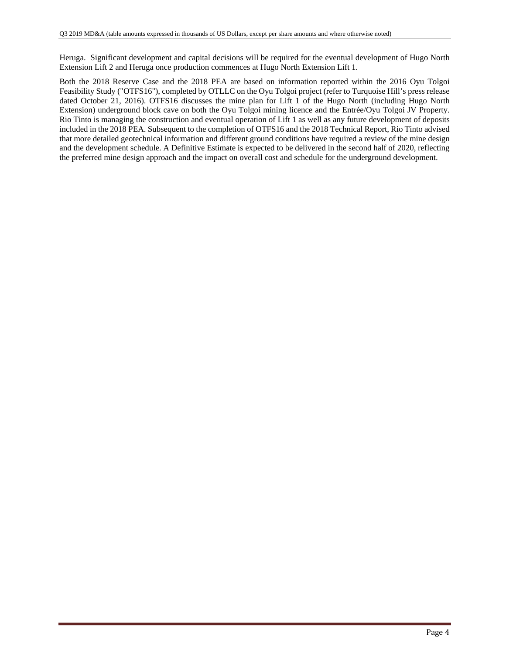Heruga. Significant development and capital decisions will be required for the eventual development of Hugo North Extension Lift 2 and Heruga once production commences at Hugo North Extension Lift 1.

Both the 2018 Reserve Case and the 2018 PEA are based on information reported within the 2016 Oyu Tolgoi Feasibility Study ("OTFS16"), completed by OTLLC on the Oyu Tolgoi project (refer to Turquoise Hill's press release dated October 21, 2016). OTFS16 discusses the mine plan for Lift 1 of the Hugo North (including Hugo North Extension) underground block cave on both the Oyu Tolgoi mining licence and the Entrée/Oyu Tolgoi JV Property. Rio Tinto is managing the construction and eventual operation of Lift 1 as well as any future development of deposits included in the 2018 PEA. Subsequent to the completion of OTFS16 and the 2018 Technical Report, Rio Tinto advised that more detailed geotechnical information and different ground conditions have required a review of the mine design and the development schedule. A Definitive Estimate is expected to be delivered in the second half of 2020, reflecting the preferred mine design approach and the impact on overall cost and schedule for the underground development.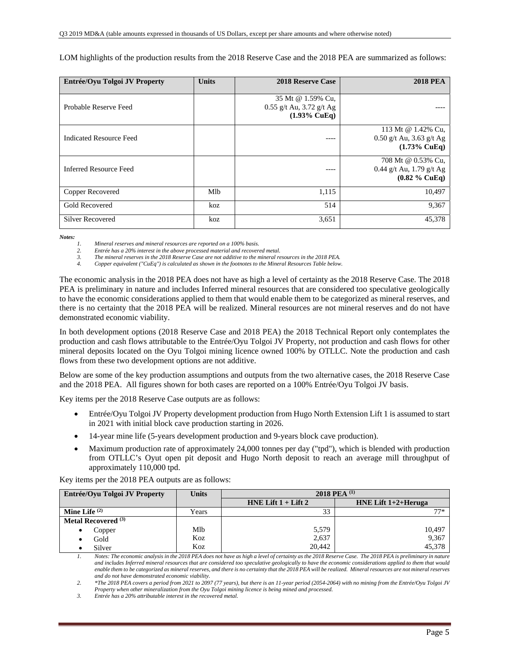LOM highlights of the production results from the 2018 Reserve Case and the 2018 PEA are summarized as follows:

| Entrée/Oyu Tolgoi JV Property | <b>Units</b> | <b>2018 Reserve Case</b>                                                   | <b>2018 PEA</b>                                                             |
|-------------------------------|--------------|----------------------------------------------------------------------------|-----------------------------------------------------------------------------|
| Probable Reserve Feed         |              | 35 Mt @ 1.59% Cu,<br>$0.55$ g/t Au, 3.72 g/t Ag<br>$(1.93\% \text{ CuEq})$ |                                                                             |
| Indicated Resource Feed       |              | ----                                                                       | 113 Mt @ 1.42% Cu,<br>$0.50$ g/t Au, 3.63 g/t Ag<br>$(1.73\% \text{ CuEq})$ |
| <b>Inferred Resource Feed</b> |              |                                                                            | 708 Mt @ 0.53% Cu,<br>0.44 g/t Au, 1.79 g/t Ag<br>$(0.82 \%$ CuEq)          |
| Copper Recovered              | Mlb          | 1,115                                                                      | 10,497                                                                      |
| <b>Gold Recovered</b>         | koz          | 514                                                                        | 9,367                                                                       |
| <b>Silver Recovered</b>       | koz          | 3,651                                                                      | 45,378                                                                      |

*Notes:* 

*1. Mineral reserves and mineral resources are reported on a 100% basis.* 

*2. Entrée has a 20% interest in the above processed material and recovered metal.* 

*3. The mineral reserves in the 2018 Reserve Case are not additive to the mineral resources in the 2018 PEA.* 

*4. Copper equivalent ("CuEq") is calculated as shown in the footnotes to the Mineral Resources Table below.* 

The economic analysis in the 2018 PEA does not have as high a level of certainty as the 2018 Reserve Case. The 2018 PEA is preliminary in nature and includes Inferred mineral resources that are considered too speculative geologically to have the economic considerations applied to them that would enable them to be categorized as mineral reserves, and there is no certainty that the 2018 PEA will be realized. Mineral resources are not mineral reserves and do not have demonstrated economic viability.

In both development options (2018 Reserve Case and 2018 PEA) the 2018 Technical Report only contemplates the production and cash flows attributable to the Entrée/Oyu Tolgoi JV Property, not production and cash flows for other mineral deposits located on the Oyu Tolgoi mining licence owned 100% by OTLLC. Note the production and cash flows from these two development options are not additive.

Below are some of the key production assumptions and outputs from the two alternative cases, the 2018 Reserve Case and the 2018 PEA. All figures shown for both cases are reported on a 100% Entrée/Oyu Tolgoi JV basis.

Key items per the 2018 Reserve Case outputs are as follows:

- Entrée/Oyu Tolgoi JV Property development production from Hugo North Extension Lift 1 is assumed to start in 2021 with initial block cave production starting in 2026.
- 14-year mine life (5-years development production and 9-years block cave production).
- Maximum production rate of approximately 24,000 tonnes per day ("tpd"), which is blended with production from OTLLC's Oyut open pit deposit and Hugo North deposit to reach an average mill throughput of approximately 110,000 tpd.

Key items per the 2018 PEA outputs are as follows:

| Entrée/Oyu Tolgoi JV Property  | <b>Units</b> | 2018 PEA $^{(1)}$       |                        |  |  |  |  |  |
|--------------------------------|--------------|-------------------------|------------------------|--|--|--|--|--|
|                                |              | HNE Lift $1 +$ Lift $2$ | HNE Lift $1+2+$ Heruga |  |  |  |  |  |
| Mine Life $^{(2)}$             | Years        | 33                      | $77*$                  |  |  |  |  |  |
| Metal Recovered <sup>(3)</sup> |              |                         |                        |  |  |  |  |  |
| Copper                         | Mlb          | 5,579                   | 10,497                 |  |  |  |  |  |
| Gold                           | Koz          | 2,637                   | 9,367                  |  |  |  |  |  |
| Silver                         | Koz          | 20,442                  | 45,378                 |  |  |  |  |  |

*1. Notes: The economic analysis in the 2018 PEA does not have as high a level of certainty as the 2018 Reserve Case. The 2018 PEA is preliminary in nature and includes Inferred mineral resources that are considered too speculative geologically to have the economic considerations applied to them that would enable them to be categorized as mineral reserves, and there is no certainty that the 2018 PEA will be realized. Mineral resources are not mineral reserves and do not have demonstrated economic viability.* 

*2. \*The 2018 PEA covers a period from 2021 to 2097 (77 years), but there is an 11-year period (2054-2064) with no mining from the Entrée/Oyu Tolgoi JV* 

*Property when other mineralization from the Oyu Tolgoi mining licence is being mined and processed.* 

*<sup>3.</sup> Entrée has a 20% attributable interest in the recovered metal.*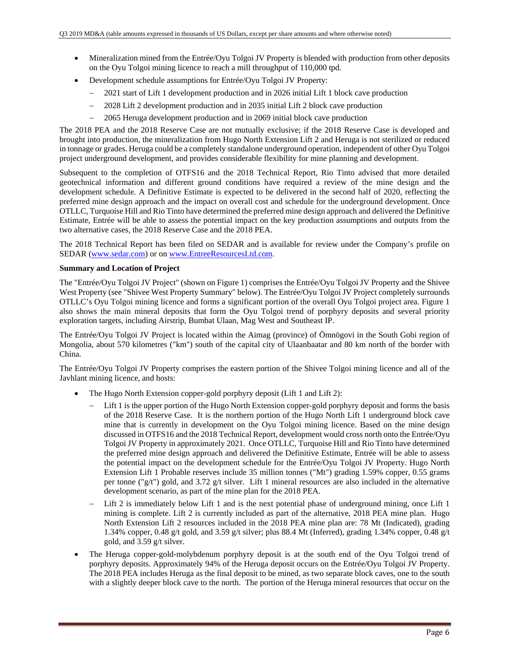- Mineralization mined from the Entrée/Oyu Tolgoi JV Property is blended with production from other deposits on the Oyu Tolgoi mining licence to reach a mill throughput of 110,000 tpd.
- Development schedule assumptions for Entrée/Oyu Tolgoi JV Property:
	- 2021 start of Lift 1 development production and in 2026 initial Lift 1 block cave production
	- 2028 Lift 2 development production and in 2035 initial Lift 2 block cave production
	- 2065 Heruga development production and in 2069 initial block cave production

The 2018 PEA and the 2018 Reserve Case are not mutually exclusive; if the 2018 Reserve Case is developed and brought into production, the mineralization from Hugo North Extension Lift 2 and Heruga is not sterilized or reduced in tonnage or grades. Heruga could be a completely standalone underground operation, independent of other Oyu Tolgoi project underground development, and provides considerable flexibility for mine planning and development.

Subsequent to the completion of OTFS16 and the 2018 Technical Report, Rio Tinto advised that more detailed geotechnical information and different ground conditions have required a review of the mine design and the development schedule. A Definitive Estimate is expected to be delivered in the second half of 2020, reflecting the preferred mine design approach and the impact on overall cost and schedule for the underground development. Once OTLLC, Turquoise Hill and Rio Tinto have determined the preferred mine design approach and delivered the Definitive Estimate, Entrée will be able to assess the potential impact on the key production assumptions and outputs from the two alternative cases, the 2018 Reserve Case and the 2018 PEA.

The 2018 Technical Report has been filed on SEDAR and is available for review under the Company's profile on SEDAR (www.sedar.com) or on www.EntreeResourcesLtd.com.

### **Summary and Location of Project**

The "Entrée/Oyu Tolgoi JV Project" (shown on Figure 1) comprises the Entrée/Oyu Tolgoi JV Property and the Shivee West Property (see "Shivee West Property Summary" below). The Entrée/Oyu Tolgoi JV Project completely surrounds OTLLC's Oyu Tolgoi mining licence and forms a significant portion of the overall Oyu Tolgoi project area. Figure 1 also shows the main mineral deposits that form the Oyu Tolgoi trend of porphyry deposits and several priority exploration targets, including Airstrip, Bumbat Ulaan, Mag West and Southeast IP.

The Entrée/Oyu Tolgoi JV Project is located within the Aimag (province) of Ömnögovi in the South Gobi region of Mongolia, about 570 kilometres ("km") south of the capital city of Ulaanbaatar and 80 km north of the border with China.

The Entrée/Oyu Tolgoi JV Property comprises the eastern portion of the Shivee Tolgoi mining licence and all of the Javhlant mining licence, and hosts:

- The Hugo North Extension copper-gold porphyry deposit (Lift 1 and Lift 2):
	- Lift 1 is the upper portion of the Hugo North Extension copper-gold porphyry deposit and forms the basis of the 2018 Reserve Case. It is the northern portion of the Hugo North Lift 1 underground block cave mine that is currently in development on the Oyu Tolgoi mining licence. Based on the mine design discussed in OTFS16 and the 2018 Technical Report, development would cross north onto the Entrée/Oyu Tolgoi JV Property in approximately 2021. Once OTLLC, Turquoise Hill and Rio Tinto have determined the preferred mine design approach and delivered the Definitive Estimate, Entrée will be able to assess the potential impact on the development schedule for the Entrée/Oyu Tolgoi JV Property. Hugo North Extension Lift 1 Probable reserves include 35 million tonnes ("Mt") grading 1.59% copper, 0.55 grams per tonne ("g/t") gold, and 3.72 g/t silver. Lift 1 mineral resources are also included in the alternative development scenario, as part of the mine plan for the 2018 PEA.
	- Lift 2 is immediately below Lift 1 and is the next potential phase of underground mining, once Lift 1 mining is complete. Lift 2 is currently included as part of the alternative, 2018 PEA mine plan. Hugo North Extension Lift 2 resources included in the 2018 PEA mine plan are: 78 Mt (Indicated), grading 1.34% copper, 0.48 g/t gold, and 3.59 g/t silver; plus 88.4 Mt (Inferred), grading 1.34% copper, 0.48 g/t gold, and 3.59 g/t silver.
- The Heruga copper-gold-molybdenum porphyry deposit is at the south end of the Oyu Tolgoi trend of porphyry deposits. Approximately 94% of the Heruga deposit occurs on the Entrée/Oyu Tolgoi JV Property. The 2018 PEA includes Heruga as the final deposit to be mined, as two separate block caves, one to the south with a slightly deeper block cave to the north. The portion of the Heruga mineral resources that occur on the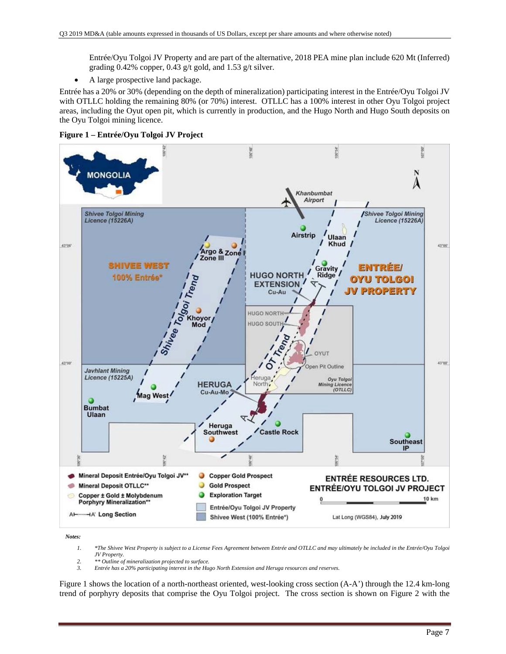Entrée/Oyu Tolgoi JV Property and are part of the alternative, 2018 PEA mine plan include 620 Mt (Inferred) grading 0.42% copper, 0.43 g/t gold, and 1.53 g/t silver.

A large prospective land package.

Entrée has a 20% or 30% (depending on the depth of mineralization) participating interest in the Entrée/Oyu Tolgoi JV with OTLLC holding the remaining 80% (or 70%) interest. OTLLC has a 100% interest in other Oyu Tolgoi project areas, including the Oyut open pit, which is currently in production, and the Hugo North and Hugo South deposits on the Oyu Tolgoi mining licence.





*Notes:* 

- *1. \*The Shivee West Property is subject to a License Fees Agreement between Entrée and OTLLC and may ultimately be included in the Entrée/Oyu Tolgoi JV Property.*
- *2. \*\* Outline of mineralization projected to surface.*
- *3. Entrée has a 20% participating interest in the Hugo North Extension and Heruga resources and reserves.*

Figure 1 shows the location of a north-northeast oriented, west-looking cross section (A-A') through the 12.4 km-long trend of porphyry deposits that comprise the Oyu Tolgoi project. The cross section is shown on Figure 2 with the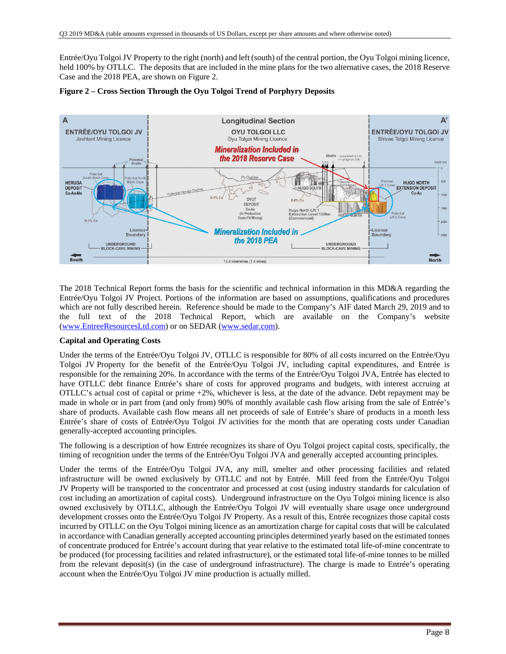Entrée/Oyu Tolgoi JV Property to the right (north) and left (south) of the central portion, the Oyu Tolgoi mining licence, held 100% by OTLLC. The deposits that are included in the mine plans for the two alternative cases, the 2018 Reserve Case and the 2018 PEA, are shown on Figure 2.





The 2018 Technical Report forms the basis for the scientific and technical information in this MD&A regarding the Entrée/Oyu Tolgoi JV Project. Portions of the information are based on assumptions, qualifications and procedures which are not fully described herein. Reference should be made to the Company's AIF dated March 29, 2019 and to the full text of the 2018 Technical Report, which are available on the Company's website (www.EntreeResourcesLtd.com) or on SEDAR (www.sedar.com).

## **Capital and Operating Costs**

Under the terms of the Entrée/Oyu Tolgoi JV, OTLLC is responsible for 80% of all costs incurred on the Entrée/Oyu Tolgoi JV Property for the benefit of the Entrée/Oyu Tolgoi JV, including capital expenditures, and Entrée is responsible for the remaining 20%. In accordance with the terms of the Entrée/Oyu Tolgoi JVA, Entrée has elected to have OTLLC debt finance Entrée's share of costs for approved programs and budgets, with interest accruing at OTLLC's actual cost of capital or prime +2%, whichever is less, at the date of the advance. Debt repayment may be made in whole or in part from (and only from) 90% of monthly available cash flow arising from the sale of Entrée's share of products. Available cash flow means all net proceeds of sale of Entrée's share of products in a month less Entrée's share of costs of Entrée/Oyu Tolgoi JV activities for the month that are operating costs under Canadian generally-accepted accounting principles.

The following is a description of how Entrée recognizes its share of Oyu Tolgoi project capital costs, specifically, the timing of recognition under the terms of the Entrée/Oyu Tolgoi JVA and generally accepted accounting principles.

Under the terms of the Entrée/Oyu Tolgoi JVA, any mill, smelter and other processing facilities and related infrastructure will be owned exclusively by OTLLC and not by Entrée. Mill feed from the Entrée/Oyu Tolgoi JV Property will be transported to the concentrator and processed at cost (using industry standards for calculation of cost including an amortization of capital costs). Underground infrastructure on the Oyu Tolgoi mining licence is also owned exclusively by OTLLC, although the Entrée/Oyu Tolgoi JV will eventually share usage once underground development crosses onto the Entrée/Oyu Tolgoi JV Property. As a result of this, Entrée recognizes those capital costs incurred by OTLLC on the Oyu Tolgoi mining licence as an amortization charge for capital costs that will be calculated in accordance with Canadian generally accepted accounting principles determined yearly based on the estimated tonnes of concentrate produced for Entrée's account during that year relative to the estimated total life-of-mine concentrate to be produced (for processing facilities and related infrastructure), or the estimated total life-of-mine tonnes to be milled from the relevant deposit(s) (in the case of underground infrastructure). The charge is made to Entrée's operating account when the Entrée/Oyu Tolgoi JV mine production is actually milled.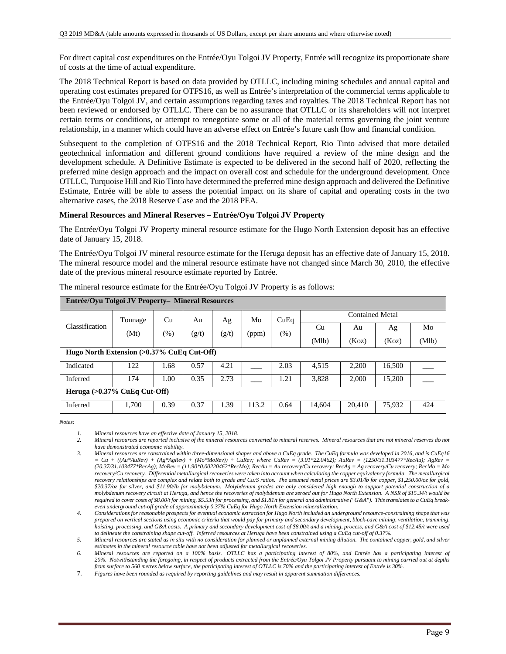For direct capital cost expenditures on the Entrée/Oyu Tolgoi JV Property, Entrée will recognize its proportionate share of costs at the time of actual expenditure.

The 2018 Technical Report is based on data provided by OTLLC, including mining schedules and annual capital and operating cost estimates prepared for OTFS16, as well as Entrée's interpretation of the commercial terms applicable to the Entrée/Oyu Tolgoi JV, and certain assumptions regarding taxes and royalties. The 2018 Technical Report has not been reviewed or endorsed by OTLLC. There can be no assurance that OTLLC or its shareholders will not interpret certain terms or conditions, or attempt to renegotiate some or all of the material terms governing the joint venture relationship, in a manner which could have an adverse effect on Entrée's future cash flow and financial condition.

Subsequent to the completion of OTFS16 and the 2018 Technical Report, Rio Tinto advised that more detailed geotechnical information and different ground conditions have required a review of the mine design and the development schedule. A Definitive Estimate is expected to be delivered in the second half of 2020, reflecting the preferred mine design approach and the impact on overall cost and schedule for the underground development. Once OTLLC, Turquoise Hill and Rio Tinto have determined the preferred mine design approach and delivered the Definitive Estimate, Entrée will be able to assess the potential impact on its share of capital and operating costs in the two alternative cases, the 2018 Reserve Case and the 2018 PEA.

## **Mineral Resources and Mineral Reserves – Entrée/Oyu Tolgoi JV Property**

The Entrée/Oyu Tolgoi JV Property mineral resource estimate for the Hugo North Extension deposit has an effective date of January 15, 2018.

The Entrée/Oyu Tolgoi JV mineral resource estimate for the Heruga deposit has an effective date of January 15, 2018. The mineral resource model and the mineral resource estimate have not changed since March 30, 2010, the effective date of the previous mineral resource estimate reported by Entrée.

|                                               | Entrée/Ovu Tolgoi JV Property- Mineral Resources |      |       |       |       |      |        |                        |        |       |  |
|-----------------------------------------------|--------------------------------------------------|------|-------|-------|-------|------|--------|------------------------|--------|-------|--|
|                                               | Tonnage                                          | Cu   | Au    | Ag    | Mo    | CuEq |        | <b>Contained Metal</b> |        |       |  |
| Classification                                | (Mt)                                             | (% ) | (g/t) | (g/t) | (ppm) | (% ) | Cu     | Au                     | Ag     | Mo    |  |
|                                               |                                                  |      |       |       |       |      | (Mlb)  | (Koz)                  | (Koz)  | (Mlb) |  |
| Hugo North Extension $(>0.37\%$ CuEq Cut-Off) |                                                  |      |       |       |       |      |        |                        |        |       |  |
| Indicated                                     | 122                                              | 1.68 | 0.57  | 4.21  |       | 2.03 | 4,515  | 2,200                  | 16,500 |       |  |
| Inferred                                      | 174                                              | 1.00 | 0.35  | 2.73  |       | 1.21 | 3,828  | 2.000                  | 15,200 |       |  |
|                                               | Heruga $(>0.37\%$ CuEq Cut-Off)                  |      |       |       |       |      |        |                        |        |       |  |
| Inferred                                      | 1,700                                            | 0.39 | 0.37  | 1.39  | 113.2 | 0.64 | 14.604 | 20.410                 | 75,932 | 424   |  |

The mineral resource estimate for the Entrée/Oyu Tolgoi JV Property is as follows:

*Notes:* 

*2. Mineral resources are reported inclusive of the mineral resources converted to mineral reserves. Mineral resources that are not mineral reserves do not have demonstrated economic viability.* 

*<sup>1.</sup> Mineral resources have an effective date of January 15, 2018.* 

*<sup>3.</sup> Mineral resources are constrained within three-dimensional shapes and above a CuEq grade. The CuEq formula was developed in 2016, and is CuEq16*   $= Cu + ((Au*AuRev) + (Ag*AgRev) + (Mo*MoRev)) \div CuRev;$  where CuRev = (3.01\*22.0462); AuRev = (1250/31.103477\*RecAu); AgRev = *(20.37/31.103477\*RecAg); MoRev = (11.90\*0.00220462\*RecMo); RecAu = Au recovery/Cu recovery; RecAg = Ag recovery/Cu recovery; RecMo = Mo*  recovery/Cu recovery. Differential metallurgical recoveries were taken into account when calculating the copper equivalency formula. The metallurgical *recovery relationships are complex and relate both to grade and Cu:S ratios. The assumed metal prices are \$3.01/lb for copper, \$1,250.00/oz for gold, \$20.37/oz for silver, and \$11.90/lb for molybdenum. Molybdenum grades are only considered high enough to support potential construction of a molybdenum recovery circuit at Heruga, and hence the recoveries of molybdenum are zeroed out for Hugo North Extension. A NSR of \$15.34/t would be required to cover costs of \$8.00/t for mining, \$5.53/t for processing, and \$1.81/t for general and administrative ("G&A"). This translates to a CuEq breakeven underground cut-off grade of approximately 0.37% CuEq for Hugo North Extension mineralization.* 

*<sup>4.</sup> Considerations for reasonable prospects for eventual economic extraction for Hugo North included an underground resource-constraining shape that was prepared on vertical sections using economic criteria that would pay for primary and secondary development, block-cave mining, ventilation, tramming, hoisting, processing, and G&A costs. A primary and secondary development cost of \$8.00/t and a mining, process, and G&A cost of \$12.45/t were used to delineate the constraining shape cut-off. Inferred resources at Heruga have been constrained using a CuEq cut-off of 0.37%.*

*<sup>5.</sup> Mineral resources are stated as in situ with no consideration for planned or unplanned external mining dilution. The contained copper, gold, and silver estimates in the mineral resource table have not been adjusted for metallurgical recoveries.* 

*<sup>6.</sup> Mineral resources are reported on a 100% basis. OTLLC has a participating interest of 80%, and Entrée has a participating interest of 20%. Notwithstanding the foregoing, in respect of products extracted from the Entrée/Oyu Tolgoi JV Property pursuant to mining carried out at depths from surface to 560 metres below surface, the participating interest of OTLLC is 70% and the participating interest of Entrée is 30%.* 

<sup>7.</sup> *Figures have been rounded as required by reporting guidelines and may result in apparent summation differences.*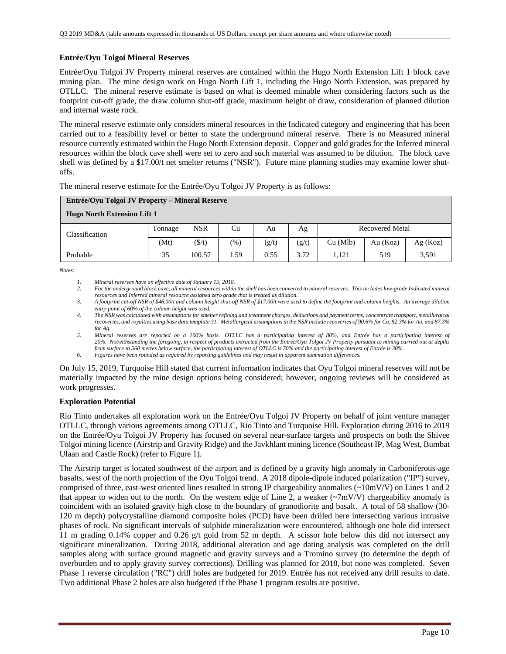## **Entrée/Oyu Tolgoi Mineral Reserves**

Entrée/Oyu Tolgoi JV Property mineral reserves are contained within the Hugo North Extension Lift 1 block cave mining plan. The mine design work on Hugo North Lift 1, including the Hugo North Extension, was prepared by OTLLC. The mineral reserve estimate is based on what is deemed minable when considering factors such as the footprint cut-off grade, the draw column shut-off grade, maximum height of draw, consideration of planned dilution and internal waste rock.

The mineral reserve estimate only considers mineral resources in the Indicated category and engineering that has been carried out to a feasibility level or better to state the underground mineral reserve. There is no Measured mineral resource currently estimated within the Hugo North Extension deposit. Copper and gold grades for the Inferred mineral resources within the block cave shell were set to zero and such material was assumed to be dilution. The block cave shell was defined by a \$17.00/t net smelter returns ("NSR"). Future mine planning studies may examine lower shutoffs.

| Entrée/Oyu Tolgoi JV Property – Mineral Reserve |         |            |               |       |       |                        |            |         |  |  |  |
|-------------------------------------------------|---------|------------|---------------|-------|-------|------------------------|------------|---------|--|--|--|
| <b>Hugo North Extension Lift 1</b>              |         |            |               |       |       |                        |            |         |  |  |  |
| <b>Classification</b>                           | Tonnage | <b>NSR</b> | Cu            | Au    | Ag    | <b>Recovered Metal</b> |            |         |  |  |  |
|                                                 | (Mt)    | (S/t)      | $\frac{9}{6}$ | (g/t) | (g/t) | Cu (Mlb)               | Au $(Koz)$ | Ag(Koz) |  |  |  |
| Probable                                        | 35      | 100.57     | . . 59        | 0.55  | 3.72  | 1.121                  | 519        | 3,591   |  |  |  |

The mineral reserve estimate for the Entrée/Oyu Tolgoi JV Property is as follows:

*Notes:* 

- *2. For the underground block cave, all mineral resources within the shell has been converted to mineral reserves. This includes low-grade Indicated mineral resources and Inferred mineral resource assigned zero grade that is treated as dilution.*
- *3. A footprint cut-off NSR of \$46.00/t and column height shut-off NSR of \$17.00/t were used to define the footprint and column heights. An average dilution entry point of 60% of the column height was used.*
- *4. The NSR was calculated with assumptions for smelter refining and treatment charges, deductions and payment terms, concentrate transport, metallurgical recoveries, and royalties using base data template 31. Metallurgical assumptions in the NSR include recoveries of 90.6% for Cu, 82.3% for Au, and 87.3% for Ag.*
- *5. Mineral reserves are reported on a 100% basis. OTLLC has a participating interest of 80%, and Entrée has a participating interest of 20%. Notwithstanding the foregoing, in respect of products extracted from the Entrée/Oyu Tolgoi JV Property pursuant to mining carried out at depths from surface to 560 metres below surface, the participating interest of OTLLC is 70% and the participating interest of Entrée is 30%.*

*6. Figures have been rounded as required by reporting guidelines and may result in apparent summation differences.* 

On July 15, 2019, Turquoise Hill stated that current information indicates that Oyu Tolgoi mineral reserves will not be materially impacted by the mine design options being considered; however, ongoing reviews will be considered as work progresses.

## **Exploration Potential**

Rio Tinto undertakes all exploration work on the Entrée/Oyu Tolgoi JV Property on behalf of joint venture manager OTLLC, through various agreements among OTLLC, Rio Tinto and Turquoise Hill. Exploration during 2016 to 2019 on the Entrée/Oyu Tolgoi JV Property has focused on several near-surface targets and prospects on both the Shivee Tolgoi mining licence (Airstrip and Gravity Ridge) and the Javkhlant mining licence (Southeast IP, Mag West, Bumbat Ulaan and Castle Rock) (refer to Figure 1).

The Airstrip target is located southwest of the airport and is defined by a gravity high anomaly in Carboniferous-age basalts, west of the north projection of the Oyu Tolgoi trend. A 2018 dipole-dipole induced polarization ("IP") survey, comprised of three, east-west oriented lines resulted in strong IP chargeability anomalies  $\sim 10 \text{mV/V}$ ) on Lines 1 and 2 that appear to widen out to the north. On the western edge of Line 2, a weaker  $(\sim 7 \text{mV/V})$  chargeability anomaly is coincident with an isolated gravity high close to the boundary of granodiorite and basalt. A total of 58 shallow (30- 120 m depth) polycrystalline diamond composite holes (PCD) have been drilled here intersecting various intrusive phases of rock. No significant intervals of sulphide mineralization were encountered, although one hole did intersect 11 m grading 0.14% copper and 0.26 g/t gold from 52 m depth. A scissor hole below this did not intersect any significant mineralization. During 2018, additional alteration and age dating analysis was completed on the drill samples along with surface ground magnetic and gravity surveys and a Tromino survey (to determine the depth of overburden and to apply gravity survey corrections). Drilling was planned for 2018, but none was completed. Seven Phase 1 reverse circulation ("RC") drill holes are budgeted for 2019. Entrée has not received any drill results to date. Two additional Phase 2 holes are also budgeted if the Phase 1 program results are positive.

*<sup>1.</sup> Mineral reserves have an effective date of January 15, 2018.*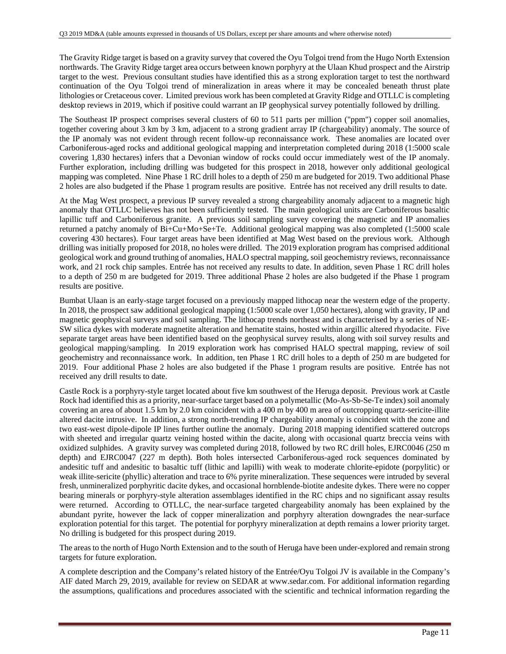The Gravity Ridge target is based on a gravity survey that covered the Oyu Tolgoi trend from the Hugo North Extension northwards. The Gravity Ridge target area occurs between known porphyry at the Ulaan Khud prospect and the Airstrip target to the west. Previous consultant studies have identified this as a strong exploration target to test the northward continuation of the Oyu Tolgoi trend of mineralization in areas where it may be concealed beneath thrust plate lithologies or Cretaceous cover. Limited previous work has been completed at Gravity Ridge and OTLLC is completing desktop reviews in 2019, which if positive could warrant an IP geophysical survey potentially followed by drilling.

The Southeast IP prospect comprises several clusters of 60 to 511 parts per million ("ppm") copper soil anomalies, together covering about 3 km by 3 km, adjacent to a strong gradient array IP (chargeability) anomaly. The source of the IP anomaly was not evident through recent follow-up reconnaissance work. These anomalies are located over Carboniferous-aged rocks and additional geological mapping and interpretation completed during 2018 (1:5000 scale covering 1,830 hectares) infers that a Devonian window of rocks could occur immediately west of the IP anomaly. Further exploration, including drilling was budgeted for this prospect in 2018, however only additional geological mapping was completed. Nine Phase 1 RC drill holes to a depth of 250 m are budgeted for 2019. Two additional Phase 2 holes are also budgeted if the Phase 1 program results are positive. Entrée has not received any drill results to date.

At the Mag West prospect, a previous IP survey revealed a strong chargeability anomaly adjacent to a magnetic high anomaly that OTLLC believes has not been sufficiently tested. The main geological units are Carboniferous basaltic lapillic tuff and Carboniferous granite. A previous soil sampling survey covering the magnetic and IP anomalies returned a patchy anomaly of Bi+Cu+Mo+Se+Te. Additional geological mapping was also completed (1:5000 scale covering 430 hectares). Four target areas have been identified at Mag West based on the previous work. Although drilling was initially proposed for 2018, no holes were drilled. The 2019 exploration program has comprised additional geological work and ground truthing of anomalies, HALO spectral mapping, soil geochemistry reviews, reconnaissance work, and 21 rock chip samples. Entrée has not received any results to date. In addition, seven Phase 1 RC drill holes to a depth of 250 m are budgeted for 2019. Three additional Phase 2 holes are also budgeted if the Phase 1 program results are positive.

Bumbat Ulaan is an early-stage target focused on a previously mapped lithocap near the western edge of the property. In 2018, the prospect saw additional geological mapping (1:5000 scale over 1,050 hectares), along with gravity, IP and magnetic geophysical surveys and soil sampling. The lithocap trends northeast and is characterised by a series of NE‐ SW silica dykes with moderate magnetite alteration and hematite stains, hosted within argillic altered rhyodacite. Five separate target areas have been identified based on the geophysical survey results, along with soil survey results and geological mapping/sampling. In 2019 exploration work has comprised HALO spectral mapping, review of soil geochemistry and reconnaissance work. In addition, ten Phase 1 RC drill holes to a depth of 250 m are budgeted for 2019. Four additional Phase 2 holes are also budgeted if the Phase 1 program results are positive. Entrée has not received any drill results to date.

Castle Rock is a porphyry-style target located about five km southwest of the Heruga deposit. Previous work at Castle Rock had identified this as a priority, near-surface target based on a polymetallic (Mo-As-Sb-Se-Te index) soil anomaly covering an area of about 1.5 km by 2.0 km coincident with a 400 m by 400 m area of outcropping quartz-sericite-illite altered dacite intrusive. In addition, a strong north-trending IP chargeability anomaly is coincident with the zone and two east-west dipole-dipole IP lines further outline the anomaly. During 2018 mapping identified scattered outcrops with sheeted and irregular quartz veining hosted within the dacite, along with occasional quartz breccia veins with oxidized sulphides. A gravity survey was completed during 2018, followed by two RC drill holes, EJRC0046 (250 m depth) and EJRC0047 (227 m depth). Both holes intersected Carboniferous-aged rock sequences dominated by andesitic tuff and andesitic to basaltic tuff (lithic and lapilli) with weak to moderate chlorite-epidote (porpylitic) or weak illite-sericite (phyllic) alteration and trace to 6% pyrite mineralization. These sequences were intruded by several fresh, unmineralized porphyritic dacite dykes, and occasional hornblende-biotite andesite dykes. There were no copper bearing minerals or porphyry-style alteration assemblages identified in the RC chips and no significant assay results were returned. According to OTLLC, the near-surface targeted chargeability anomaly has been explained by the abundant pyrite, however the lack of copper mineralization and porphyry alteration downgrades the near-surface exploration potential for this target. The potential for porphyry mineralization at depth remains a lower priority target. No drilling is budgeted for this prospect during 2019.

The areas to the north of Hugo North Extension and to the south of Heruga have been under-explored and remain strong targets for future exploration.

A complete description and the Company's related history of the Entrée/Oyu Tolgoi JV is available in the Company's AIF dated March 29, 2019, available for review on SEDAR at www.sedar.com. For additional information regarding the assumptions, qualifications and procedures associated with the scientific and technical information regarding the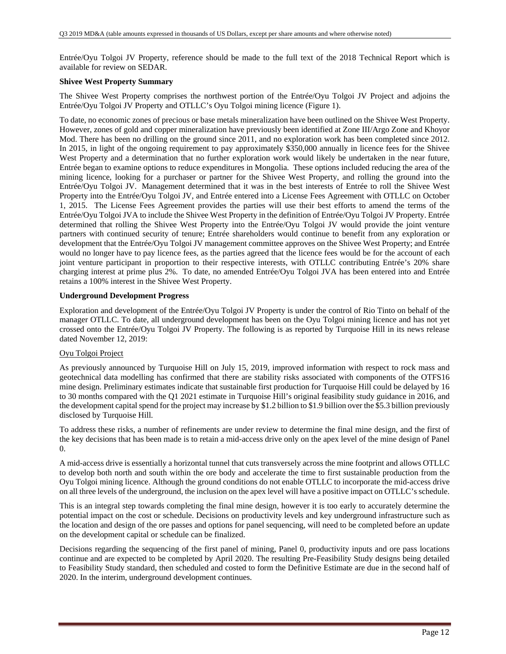Entrée/Oyu Tolgoi JV Property, reference should be made to the full text of the 2018 Technical Report which is available for review on SEDAR.

### **Shivee West Property Summary**

The Shivee West Property comprises the northwest portion of the Entrée/Oyu Tolgoi JV Project and adjoins the Entrée/Oyu Tolgoi JV Property and OTLLC's Oyu Tolgoi mining licence (Figure 1).

To date, no economic zones of precious or base metals mineralization have been outlined on the Shivee West Property. However, zones of gold and copper mineralization have previously been identified at Zone III/Argo Zone and Khoyor Mod. There has been no drilling on the ground since 2011, and no exploration work has been completed since 2012. In 2015, in light of the ongoing requirement to pay approximately \$350,000 annually in licence fees for the Shivee West Property and a determination that no further exploration work would likely be undertaken in the near future, Entrée began to examine options to reduce expenditures in Mongolia. These options included reducing the area of the mining licence, looking for a purchaser or partner for the Shivee West Property, and rolling the ground into the Entrée/Oyu Tolgoi JV. Management determined that it was in the best interests of Entrée to roll the Shivee West Property into the Entrée/Oyu Tolgoi JV, and Entrée entered into a License Fees Agreement with OTLLC on October 1, 2015. The License Fees Agreement provides the parties will use their best efforts to amend the terms of the Entrée/Oyu Tolgoi JVA to include the Shivee West Property in the definition of Entrée/Oyu Tolgoi JV Property. Entrée determined that rolling the Shivee West Property into the Entrée/Oyu Tolgoi JV would provide the joint venture partners with continued security of tenure; Entrée shareholders would continue to benefit from any exploration or development that the Entrée/Oyu Tolgoi JV management committee approves on the Shivee West Property; and Entrée would no longer have to pay licence fees, as the parties agreed that the licence fees would be for the account of each joint venture participant in proportion to their respective interests, with OTLLC contributing Entrée's 20% share charging interest at prime plus 2%. To date, no amended Entrée/Oyu Tolgoi JVA has been entered into and Entrée retains a 100% interest in the Shivee West Property.

### **Underground Development Progress**

Exploration and development of the Entrée/Oyu Tolgoi JV Property is under the control of Rio Tinto on behalf of the manager OTLLC. To date, all underground development has been on the Oyu Tolgoi mining licence and has not yet crossed onto the Entrée/Oyu Tolgoi JV Property. The following is as reported by Turquoise Hill in its news release dated November 12, 2019:

### Oyu Tolgoi Project

As previously announced by Turquoise Hill on July 15, 2019, improved information with respect to rock mass and geotechnical data modelling has confirmed that there are stability risks associated with components of the OTFS16 mine design. Preliminary estimates indicate that sustainable first production for Turquoise Hill could be delayed by 16 to 30 months compared with the Q1 2021 estimate in Turquoise Hill's original feasibility study guidance in 2016, and the development capital spend for the project may increase by \$1.2 billion to \$1.9 billion over the \$5.3 billion previously disclosed by Turquoise Hill.

To address these risks, a number of refinements are under review to determine the final mine design, and the first of the key decisions that has been made is to retain a mid-access drive only on the apex level of the mine design of Panel 0.

A mid-access drive is essentially a horizontal tunnel that cuts transversely across the mine footprint and allows OTLLC to develop both north and south within the ore body and accelerate the time to first sustainable production from the Oyu Tolgoi mining licence. Although the ground conditions do not enable OTLLC to incorporate the mid-access drive on all three levels of the underground, the inclusion on the apex level will have a positive impact on OTLLC's schedule.

This is an integral step towards completing the final mine design, however it is too early to accurately determine the potential impact on the cost or schedule. Decisions on productivity levels and key underground infrastructure such as the location and design of the ore passes and options for panel sequencing, will need to be completed before an update on the development capital or schedule can be finalized.

Decisions regarding the sequencing of the first panel of mining, Panel 0, productivity inputs and ore pass locations continue and are expected to be completed by April 2020. The resulting Pre-Feasibility Study designs being detailed to Feasibility Study standard, then scheduled and costed to form the Definitive Estimate are due in the second half of 2020. In the interim, underground development continues.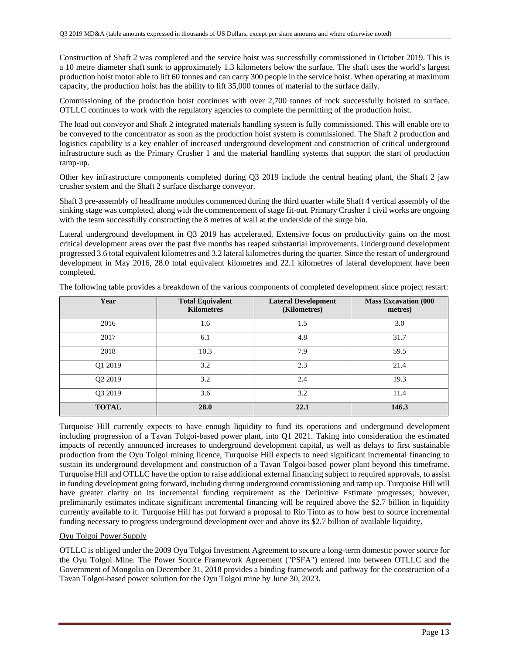Construction of Shaft 2 was completed and the service hoist was successfully commissioned in October 2019. This is a 10 metre diameter shaft sunk to approximately 1.3 kilometers below the surface. The shaft uses the world's largest production hoist motor able to lift 60 tonnes and can carry 300 people in the service hoist. When operating at maximum capacity, the production hoist has the ability to lift 35,000 tonnes of material to the surface daily.

Commissioning of the production hoist continues with over 2,700 tonnes of rock successfully hoisted to surface. OTLLC continues to work with the regulatory agencies to complete the permitting of the production hoist.

The load out conveyor and Shaft 2 integrated materials handling system is fully commissioned. This will enable ore to be conveyed to the concentrator as soon as the production hoist system is commissioned. The Shaft 2 production and logistics capability is a key enabler of increased underground development and construction of critical underground infrastructure such as the Primary Crusher 1 and the material handling systems that support the start of production ramp-up.

Other key infrastructure components completed during Q3 2019 include the central heating plant, the Shaft 2 jaw crusher system and the Shaft 2 surface discharge conveyor.

Shaft 3 pre-assembly of headframe modules commenced during the third quarter while Shaft 4 vertical assembly of the sinking stage was completed, along with the commencement of stage fit-out. Primary Crusher 1 civil works are ongoing with the team successfully constructing the 8 metres of wall at the underside of the surge bin.

Lateral underground development in Q3 2019 has accelerated. Extensive focus on productivity gains on the most critical development areas over the past five months has reaped substantial improvements. Underground development progressed 3.6 total equivalent kilometres and 3.2 lateral kilometres during the quarter. Since the restart of underground development in May 2016, 28.0 total equivalent kilometres and 22.1 kilometres of lateral development have been completed.

| Year                | <b>Total Equivalent</b><br><b>Kilometres</b> | <b>Lateral Development</b><br>(Kilometres) | <b>Mass Excavation (000</b><br>metres) |
|---------------------|----------------------------------------------|--------------------------------------------|----------------------------------------|
| 2016                | 1.6                                          | 1.5                                        | 3.0                                    |
| 2017                | 6.1                                          | 4.8                                        | 31.7                                   |
| 2018                | 10.3                                         | 7.9                                        | 59.5                                   |
| Q1 2019             | 3.2                                          | 2.3                                        | 21.4                                   |
| Q2 2019             | 3.2                                          | 2.4                                        | 19.3                                   |
| O <sub>3</sub> 2019 | 3.6                                          | 3.2                                        | 11.4                                   |
| <b>TOTAL</b>        | 28.0                                         | 22.1                                       | 146.3                                  |

The following table provides a breakdown of the various components of completed development since project restart:

Turquoise Hill currently expects to have enough liquidity to fund its operations and underground development including progression of a Tavan Tolgoi-based power plant, into Q1 2021. Taking into consideration the estimated impacts of recently announced increases to underground development capital, as well as delays to first sustainable production from the Oyu Tolgoi mining licence, Turquoise Hill expects to need significant incremental financing to sustain its underground development and construction of a Tavan Tolgoi-based power plant beyond this timeframe. Turquoise Hill and OTLLC have the option to raise additional external financing subject to required approvals, to assist in funding development going forward, including during underground commissioning and ramp up. Turquoise Hill will have greater clarity on its incremental funding requirement as the Definitive Estimate progresses; however, preliminarily estimates indicate significant incremental financing will be required above the \$2.7 billion in liquidity currently available to it. Turquoise Hill has put forward a proposal to Rio Tinto as to how best to source incremental funding necessary to progress underground development over and above its \$2.7 billion of available liquidity.

## Oyu Tolgoi Power Supply

OTLLC is obliged under the 2009 Oyu Tolgoi Investment Agreement to secure a long-term domestic power source for the Oyu Tolgoi Mine. The Power Source Framework Agreement ("PSFA") entered into between OTLLC and the Government of Mongolia on December 31, 2018 provides a binding framework and pathway for the construction of a Tavan Tolgoi-based power solution for the Oyu Tolgoi mine by June 30, 2023.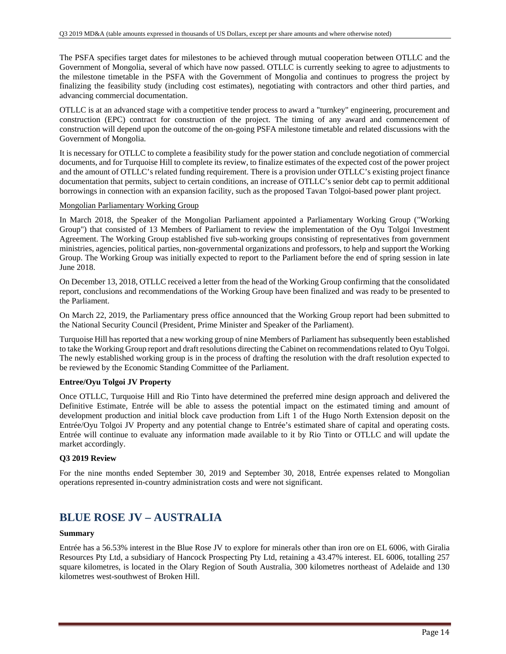The PSFA specifies target dates for milestones to be achieved through mutual cooperation between OTLLC and the Government of Mongolia, several of which have now passed. OTLLC is currently seeking to agree to adjustments to the milestone timetable in the PSFA with the Government of Mongolia and continues to progress the project by finalizing the feasibility study (including cost estimates), negotiating with contractors and other third parties, and advancing commercial documentation.

OTLLC is at an advanced stage with a competitive tender process to award a "turnkey" engineering, procurement and construction (EPC) contract for construction of the project. The timing of any award and commencement of construction will depend upon the outcome of the on-going PSFA milestone timetable and related discussions with the Government of Mongolia.

It is necessary for OTLLC to complete a feasibility study for the power station and conclude negotiation of commercial documents, and for Turquoise Hill to complete its review, to finalize estimates of the expected cost of the power project and the amount of OTLLC's related funding requirement. There is a provision under OTLLC's existing project finance documentation that permits, subject to certain conditions, an increase of OTLLC's senior debt cap to permit additional borrowings in connection with an expansion facility, such as the proposed Tavan Tolgoi-based power plant project.

### Mongolian Parliamentary Working Group

In March 2018, the Speaker of the Mongolian Parliament appointed a Parliamentary Working Group ("Working Group") that consisted of 13 Members of Parliament to review the implementation of the Oyu Tolgoi Investment Agreement. The Working Group established five sub-working groups consisting of representatives from government ministries, agencies, political parties, non-governmental organizations and professors, to help and support the Working Group. The Working Group was initially expected to report to the Parliament before the end of spring session in late June 2018.

On December 13, 2018, OTLLC received a letter from the head of the Working Group confirming that the consolidated report, conclusions and recommendations of the Working Group have been finalized and was ready to be presented to the Parliament.

On March 22, 2019, the Parliamentary press office announced that the Working Group report had been submitted to the National Security Council (President, Prime Minister and Speaker of the Parliament).

Turquoise Hill has reported that a new working group of nine Members of Parliament has subsequently been established to take the Working Group report and draft resolutions directing the Cabinet on recommendations related to Oyu Tolgoi. The newly established working group is in the process of drafting the resolution with the draft resolution expected to be reviewed by the Economic Standing Committee of the Parliament.

## **Entree/Oyu Tolgoi JV Property**

Once OTLLC, Turquoise Hill and Rio Tinto have determined the preferred mine design approach and delivered the Definitive Estimate, Entrée will be able to assess the potential impact on the estimated timing and amount of development production and initial block cave production from Lift 1 of the Hugo North Extension deposit on the Entrée/Oyu Tolgoi JV Property and any potential change to Entrée's estimated share of capital and operating costs. Entrée will continue to evaluate any information made available to it by Rio Tinto or OTLLC and will update the market accordingly.

### **Q3 2019 Review**

For the nine months ended September 30, 2019 and September 30, 2018, Entrée expenses related to Mongolian operations represented in-country administration costs and were not significant.

# **BLUE ROSE JV – AUSTRALIA**

### **Summary**

Entrée has a 56.53% interest in the Blue Rose JV to explore for minerals other than iron ore on EL 6006, with Giralia Resources Pty Ltd, a subsidiary of Hancock Prospecting Pty Ltd, retaining a 43.47% interest. EL 6006, totalling 257 square kilometres, is located in the Olary Region of South Australia, 300 kilometres northeast of Adelaide and 130 kilometres west-southwest of Broken Hill.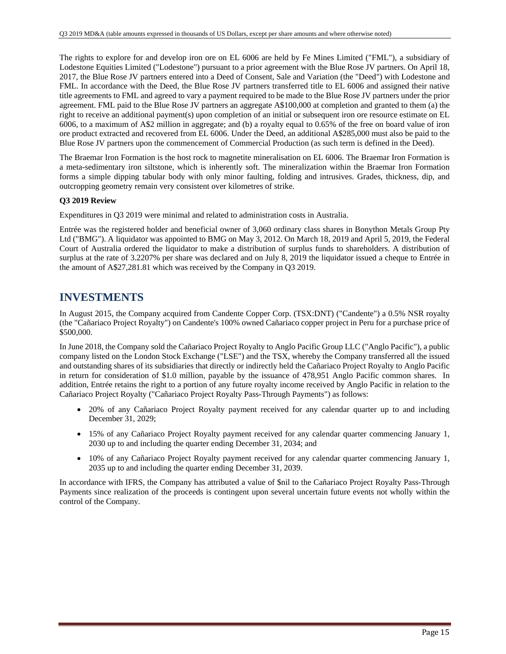The rights to explore for and develop iron ore on EL 6006 are held by Fe Mines Limited ("FML"), a subsidiary of Lodestone Equities Limited ("Lodestone") pursuant to a prior agreement with the Blue Rose JV partners. On April 18, 2017, the Blue Rose JV partners entered into a Deed of Consent, Sale and Variation (the "Deed") with Lodestone and FML. In accordance with the Deed, the Blue Rose JV partners transferred title to EL 6006 and assigned their native title agreements to FML and agreed to vary a payment required to be made to the Blue Rose JV partners under the prior agreement. FML paid to the Blue Rose JV partners an aggregate A\$100,000 at completion and granted to them (a) the right to receive an additional payment(s) upon completion of an initial or subsequent iron ore resource estimate on EL 6006, to a maximum of A\$2 million in aggregate; and (b) a royalty equal to 0.65% of the free on board value of iron ore product extracted and recovered from EL 6006. Under the Deed, an additional A\$285,000 must also be paid to the Blue Rose JV partners upon the commencement of Commercial Production (as such term is defined in the Deed).

The Braemar Iron Formation is the host rock to magnetite mineralisation on EL 6006. The Braemar Iron Formation is a meta-sedimentary iron siltstone, which is inherently soft. The mineralization within the Braemar Iron Formation forms a simple dipping tabular body with only minor faulting, folding and intrusives. Grades, thickness, dip, and outcropping geometry remain very consistent over kilometres of strike.

## **Q3 2019 Review**

Expenditures in Q3 2019 were minimal and related to administration costs in Australia.

Entrée was the registered holder and beneficial owner of 3,060 ordinary class shares in Bonython Metals Group Pty Ltd ("BMG"). A liquidator was appointed to BMG on May 3, 2012. On March 18, 2019 and April 5, 2019, the Federal Court of Australia ordered the liquidator to make a distribution of surplus funds to shareholders. A distribution of surplus at the rate of 3.2207% per share was declared and on July 8, 2019 the liquidator issued a cheque to Entrée in the amount of A\$27,281.81 which was received by the Company in Q3 2019.

## **INVESTMENTS**

In August 2015, the Company acquired from Candente Copper Corp. (TSX:DNT) ("Candente") a 0.5% NSR royalty (the "Cañariaco Project Royalty") on Candente's 100% owned Cañariaco copper project in Peru for a purchase price of \$500,000.

In June 2018, the Company sold the Cañariaco Project Royalty to Anglo Pacific Group LLC ("Anglo Pacific"), a public company listed on the London Stock Exchange ("LSE") and the TSX, whereby the Company transferred all the issued and outstanding shares of its subsidiaries that directly or indirectly held the Cañariaco Project Royalty to Anglo Pacific in return for consideration of \$1.0 million, payable by the issuance of 478,951 Anglo Pacific common shares. In addition, Entrée retains the right to a portion of any future royalty income received by Anglo Pacific in relation to the Cañariaco Project Royalty ("Cañariaco Project Royalty Pass-Through Payments") as follows:

- 20% of any Cañariaco Project Royalty payment received for any calendar quarter up to and including December 31, 2029;
- 15% of any Cañariaco Project Royalty payment received for any calendar quarter commencing January 1, 2030 up to and including the quarter ending December 31, 2034; and
- 10% of any Cañariaco Project Royalty payment received for any calendar quarter commencing January 1, 2035 up to and including the quarter ending December 31, 2039.

In accordance with IFRS, the Company has attributed a value of \$nil to the Cañariaco Project Royalty Pass-Through Payments since realization of the proceeds is contingent upon several uncertain future events not wholly within the control of the Company.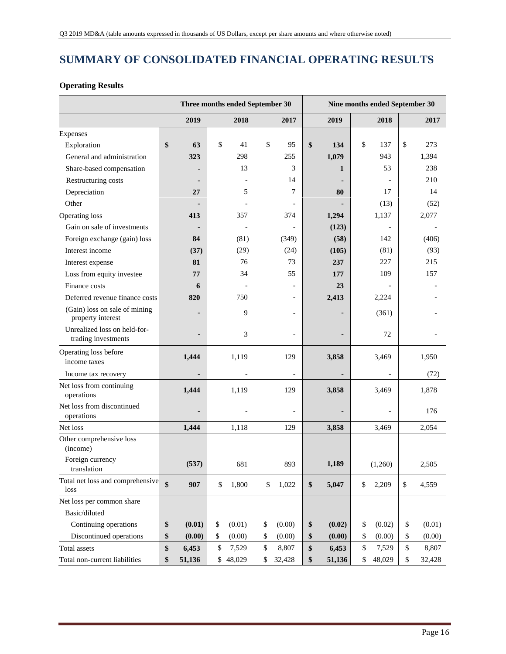# **SUMMARY OF CONSOLIDATED FINANCIAL OPERATING RESULTS**

## **Operating Results**

|                                                     |                | Three months ended September 30 |                          | Nine months ended September 30<br>2019<br>2018<br>2017<br>\$<br>\$<br>\$<br>134<br>137<br>273<br>1,079<br>943<br>1,394<br>53<br>238<br>1<br>210<br>17<br>14<br>80 |    |                          |    |        |  |
|-----------------------------------------------------|----------------|---------------------------------|--------------------------|-------------------------------------------------------------------------------------------------------------------------------------------------------------------|----|--------------------------|----|--------|--|
|                                                     | 2019           | 2018                            | 2017                     |                                                                                                                                                                   |    |                          |    |        |  |
| Expenses                                            |                |                                 |                          |                                                                                                                                                                   |    |                          |    |        |  |
| Exploration                                         | \$<br>63       | \$<br>41                        | \$<br>95                 |                                                                                                                                                                   |    |                          |    |        |  |
| General and administration                          | 323            | 298                             | 255                      |                                                                                                                                                                   |    |                          |    |        |  |
| Share-based compensation                            |                | 13                              | 3                        |                                                                                                                                                                   |    |                          |    |        |  |
| Restructuring costs                                 |                |                                 | 14                       |                                                                                                                                                                   |    |                          |    |        |  |
| Depreciation                                        | 27             | 5                               | 7                        |                                                                                                                                                                   |    |                          |    |        |  |
| Other                                               |                |                                 |                          |                                                                                                                                                                   |    | (13)                     |    | (52)   |  |
| Operating loss                                      | 413            | 357                             | 374                      | 1,294                                                                                                                                                             |    | 1,137                    |    | 2,077  |  |
| Gain on sale of investments                         |                |                                 |                          | (123)                                                                                                                                                             |    |                          |    |        |  |
| Foreign exchange (gain) loss                        | 84             | (81)                            | (349)                    | (58)                                                                                                                                                              |    | 142                      |    | (406)  |  |
| Interest income                                     | (37)           | (29)                            | (24)                     | (105)                                                                                                                                                             |    | (81)                     |    | (93)   |  |
| Interest expense                                    | 81             | 76                              | 73                       | 237                                                                                                                                                               |    | 227                      |    | 215    |  |
| Loss from equity investee                           | 77             | 34                              | 55                       | 177                                                                                                                                                               |    | 109                      |    | 157    |  |
| Finance costs                                       | 6              | $\overline{a}$                  |                          | 23                                                                                                                                                                |    |                          |    |        |  |
| Deferred revenue finance costs                      | 820            | 750                             |                          | 2,413                                                                                                                                                             |    | 2,224                    |    |        |  |
| (Gain) loss on sale of mining<br>property interest  |                | 9                               |                          |                                                                                                                                                                   |    | (361)                    |    |        |  |
| Unrealized loss on held-for-<br>trading investments |                | 3                               |                          |                                                                                                                                                                   |    | 72                       |    |        |  |
| Operating loss before<br>income taxes               | 1,444          | 1,119                           | 129                      | 3,858                                                                                                                                                             |    | 3,469                    |    | 1,950  |  |
| Income tax recovery                                 | $\blacksquare$ | $\blacksquare$                  | $\overline{\phantom{0}}$ |                                                                                                                                                                   |    | $\overline{\phantom{a}}$ |    | (72)   |  |
| Net loss from continuing<br>operations              | 1,444          | 1,119                           | 129                      | 3,858                                                                                                                                                             |    | 3,469                    |    | 1,878  |  |
| Net loss from discontinued<br>operations            |                | $\overline{\phantom{a}}$        |                          |                                                                                                                                                                   |    |                          |    | 176    |  |
| Net loss                                            | 1,444          | 1,118                           | 129                      | 3,858                                                                                                                                                             |    | 3,469                    |    | 2,054  |  |
| Other comprehensive loss<br>(income)                |                |                                 |                          |                                                                                                                                                                   |    |                          |    |        |  |
| Foreign currency<br>translation                     | (537)          | 681                             | 893                      | 1,189                                                                                                                                                             |    | (1,260)                  |    | 2,505  |  |
| Total net loss and comprehensive<br>loss            | \$<br>907      | \$<br>1,800                     | \$<br>1,022              | \$<br>5,047                                                                                                                                                       | \$ | 2,209                    | \$ | 4,559  |  |
| Net loss per common share                           |                |                                 |                          |                                                                                                                                                                   |    |                          |    |        |  |
| Basic/diluted                                       |                |                                 |                          |                                                                                                                                                                   |    |                          |    |        |  |
| Continuing operations                               | \$<br>(0.01)   | \$<br>(0.01)                    | \$<br>(0.00)             | \$<br>(0.02)                                                                                                                                                      | \$ | (0.02)                   | \$ | (0.01) |  |
| Discontinued operations                             | \$<br>(0.00)   | \$<br>(0.00)                    | \$<br>(0.00)             | \$<br>(0.00)                                                                                                                                                      | \$ | (0.00)                   | \$ | (0.00) |  |
| Total assets                                        | \$<br>6,453    | \$<br>7,529                     | \$<br>8,807              | \$<br>6,453                                                                                                                                                       | \$ | 7,529                    | \$ | 8,807  |  |
| Total non-current liabilities                       | \$<br>51,136   | \$<br>48,029                    | \$<br>32,428             | \$<br>51,136                                                                                                                                                      | \$ | 48,029                   | \$ | 32,428 |  |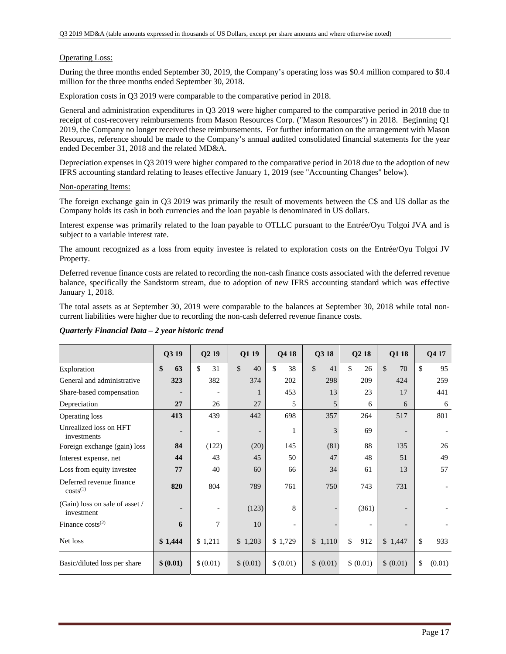### Operating Loss:

During the three months ended September 30, 2019, the Company's operating loss was \$0.4 million compared to \$0.4 million for the three months ended September 30, 2018.

Exploration costs in Q3 2019 were comparable to the comparative period in 2018.

General and administration expenditures in Q3 2019 were higher compared to the comparative period in 2018 due to receipt of cost-recovery reimbursements from Mason Resources Corp. ("Mason Resources") in 2018. Beginning Q1 2019, the Company no longer received these reimbursements. For further information on the arrangement with Mason Resources, reference should be made to the Company's annual audited consolidated financial statements for the year ended December 31, 2018 and the related MD&A.

Depreciation expenses in Q3 2019 were higher compared to the comparative period in 2018 due to the adoption of new IFRS accounting standard relating to leases effective January 1, 2019 (see "Accounting Changes" below).

### Non-operating Items:

The foreign exchange gain in Q3 2019 was primarily the result of movements between the C\$ and US dollar as the Company holds its cash in both currencies and the loan payable is denominated in US dollars.

Interest expense was primarily related to the loan payable to OTLLC pursuant to the Entrée/Oyu Tolgoi JVA and is subject to a variable interest rate.

The amount recognized as a loss from equity investee is related to exploration costs on the Entrée/Oyu Tolgoi JV Property.

Deferred revenue finance costs are related to recording the non-cash finance costs associated with the deferred revenue balance, specifically the Sandstorm stream, due to adoption of new IFRS accounting standard which was effective January 1, 2018.

The total assets as at September 30, 2019 were comparable to the balances at September 30, 2018 while total noncurrent liabilities were higher due to recording the non-cash deferred revenue finance costs.

|                                              | Q3 19     | Q <sub>2</sub> 19        | Q1 19     | Q4 18     | Q3 18              | Q <sub>2</sub> 18 | Q1 18              | Q4 17        |
|----------------------------------------------|-----------|--------------------------|-----------|-----------|--------------------|-------------------|--------------------|--------------|
| Exploration                                  | \$<br>63  | \$<br>31                 | \$<br>40  | \$<br>38  | $\mathbb{S}$<br>41 | \$<br>26          | $\mathbb{S}$<br>70 | \$<br>95     |
| General and administrative                   | 323       | 382                      | 374       | 202       | 298                | 209               | 424                | 259          |
| Share-based compensation                     |           | $\overline{\phantom{a}}$ | 1         | 453       | 13                 | 23                | 17                 | 441          |
| Depreciation                                 | 27        | 26                       | 27        | 5         | 5                  | 6                 | 6                  | 6            |
| Operating loss                               | 413       | 439                      | 442       | 698       | 357                | 264               | 517                | 801          |
| Unrealized loss on HFT<br>investments        | ۰         | $\overline{\phantom{a}}$ | -         | 1         | 3                  | 69                |                    |              |
| Foreign exchange (gain) loss                 | 84        | (122)                    | (20)      | 145       | (81)               | 88                | 135                | 26           |
| Interest expense, net                        | 44        | 43                       | 45        | 50        | 47                 | 48                | 51                 | 49           |
| Loss from equity investee                    | 77        | 40                       | 60        | 66        | 34                 | 61                | 13                 | 57           |
| Deferred revenue finance<br>$costs^{(1)}$    | 820       | 804                      | 789       | 761       | 750                | 743               | 731                |              |
| (Gain) loss on sale of asset /<br>investment | ٠         | $\overline{\phantom{a}}$ | (123)     | 8         |                    | (361)             |                    |              |
| Finance $costs^{(2)}$                        | 6         | 7                        | 10        |           |                    |                   |                    |              |
| Net loss                                     | \$1,444   | \$1,211                  | \$1,203   | \$1,729   | \$1,110            | \$<br>912         | \$1,447            | \$<br>933    |
| Basic/diluted loss per share                 | \$ (0.01) | \$(0.01)                 | \$ (0.01) | \$ (0.01) | \$ (0.01)          | \$ (0.01)         | \$ (0.01)          | \$<br>(0.01) |

### *Quarterly Financial Data – 2 year historic trend*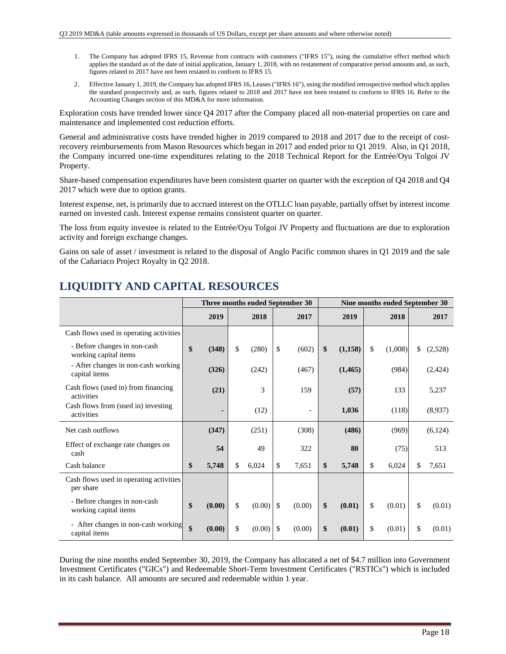- 1. The Company has adopted IFRS 15, Revenue from contracts with customers ("IFRS 15"), using the cumulative effect method which applies the standard as of the date of initial application, January 1, 2018, with no restatement of comparative period amounts and, as such, figures related to 2017 have not been restated to conform to IFRS 15.
- 2. Effective January 1, 2019, the Company has adopted IFRS 16, Leases ("IFRS 16"), using the modified retrospective method which applies the standard prospectively and, as such, figures related to 2018 and 2017 have not been restated to conform to IFRS 16. Refer to the Accounting Changes section of this MD&A for more information.

Exploration costs have trended lower since Q4 2017 after the Company placed all non-material properties on care and maintenance and implemented cost reduction efforts.

General and administrative costs have trended higher in 2019 compared to 2018 and 2017 due to the receipt of costrecovery reimbursements from Mason Resources which began in 2017 and ended prior to Q1 2019. Also, in Q1 2018, the Company incurred one-time expenditures relating to the 2018 Technical Report for the Entrée/Oyu Tolgoi JV Property.

Share-based compensation expenditures have been consistent quarter on quarter with the exception of Q4 2018 and Q4 2017 which were due to option grants.

Interest expense, net, is primarily due to accrued interest on the OTLLC loan payable, partially offset by interest income earned on invested cash. Interest expense remains consistent quarter on quarter.

The loss from equity investee is related to the Entrée/Oyu Tolgoi JV Property and fluctuations are due to exploration activity and foreign exchange changes.

Gains on sale of asset / investment is related to the disposal of Anglo Pacific common shares in Q1 2019 and the sale of the Cañariaco Project Royalty in Q2 2018.

|                                                       |              |     |        |               | Three months ended September 30 | Nine months ended September 30 |          |    |         |    |         |
|-------------------------------------------------------|--------------|-----|--------|---------------|---------------------------------|--------------------------------|----------|----|---------|----|---------|
|                                                       | 2019         |     | 2018   |               | 2017                            |                                | 2019     |    | 2018    |    | 2017    |
| Cash flows used in operating activities               |              |     |        |               |                                 |                                |          |    |         |    |         |
| - Before changes in non-cash<br>working capital items | \$<br>(348)  | \$  | (280)  | \$            | (602)                           | \$                             | (1,158)  | \$ | (1,008) | \$ | (2,528) |
| - After changes in non-cash working<br>capital items  | (326)        |     | (242)  |               | (467)                           |                                | (1, 465) |    | (984)   |    | (2,424) |
| Cash flows (used in) from financing<br>activities     | (21)         |     | 3      |               | 159                             |                                | (57)     |    | 133     |    | 5,237   |
| Cash flows from (used in) investing<br>activities     |              |     | (12)   |               |                                 |                                | 1,036    |    | (118)   |    | (8,937) |
| Net cash outflows                                     | (347)        |     | (251)  |               | (308)                           |                                | (486)    |    | (969)   |    | (6,124) |
| Effect of exchange rate changes on<br>cash            | 54           |     | 49     |               | 322                             |                                | 80       |    | (75)    |    | 513     |
| Cash balance                                          | \$<br>5,748  | \$. | 6,024  | \$            | 7,651                           | \$                             | 5,748    | \$ | 6,024   | \$ | 7,651   |
| Cash flows used in operating activities<br>per share  |              |     |        |               |                                 |                                |          |    |         |    |         |
| - Before changes in non-cash<br>working capital items | \$<br>(0.00) | \$  | (0.00) | \$            | (0.00)                          | \$                             | (0.01)   | \$ | (0.01)  | \$ | (0.01)  |
| - After changes in non-cash working<br>capital items  | \$<br>(0.00) | \$  | (0.00) | <sup>\$</sup> | (0.00)                          | \$                             | (0.01)   | \$ | (0.01)  | \$ | (0.01)  |

# **LIQUIDITY AND CAPITAL RESOURCES**

During the nine months ended September 30, 2019, the Company has allocated a net of \$4.7 million into Government Investment Certificates ("GICs") and Redeemable Short-Term Investment Certificates ("RSTICs") which is included in its cash balance. All amounts are secured and redeemable within 1 year.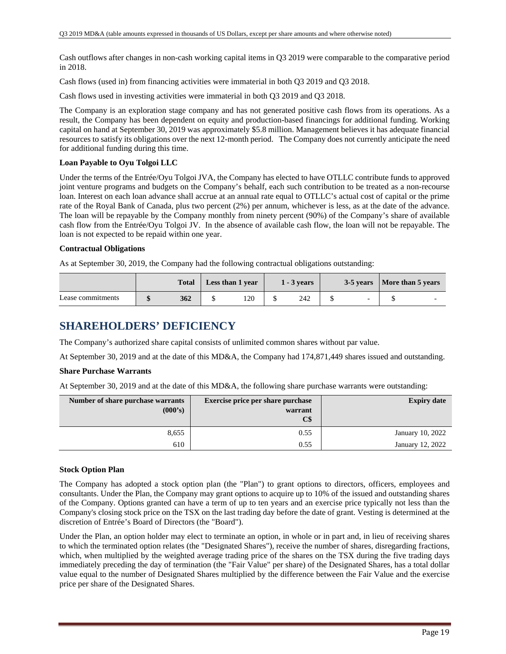Cash outflows after changes in non-cash working capital items in Q3 2019 were comparable to the comparative period in 2018.

Cash flows (used in) from financing activities were immaterial in both Q3 2019 and Q3 2018.

Cash flows used in investing activities were immaterial in both Q3 2019 and Q3 2018.

The Company is an exploration stage company and has not generated positive cash flows from its operations. As a result, the Company has been dependent on equity and production-based financings for additional funding. Working capital on hand at September 30, 2019 was approximately \$5.8 million. Management believes it has adequate financial resources to satisfy its obligations over the next 12-month period. The Company does not currently anticipate the need for additional funding during this time.

### **Loan Payable to Oyu Tolgoi LLC**

Under the terms of the Entrée/Oyu Tolgoi JVA, the Company has elected to have OTLLC contribute funds to approved joint venture programs and budgets on the Company's behalf, each such contribution to be treated as a non-recourse loan. Interest on each loan advance shall accrue at an annual rate equal to OTLLC's actual cost of capital or the prime rate of the Royal Bank of Canada, plus two percent (2%) per annum, whichever is less, as at the date of the advance. The loan will be repayable by the Company monthly from ninety percent (90%) of the Company's share of available cash flow from the Entrée/Oyu Tolgoi JV. In the absence of available cash flow, the loan will not be repayable. The loan is not expected to be repaid within one year.

### **Contractual Obligations**

As at September 30, 2019, the Company had the following contractual obligations outstanding:

|                   | <b>Total</b> | Less than 1 year | $1 - 3$ years | 3-5 years   More than 5 years |  |
|-------------------|--------------|------------------|---------------|-------------------------------|--|
| Lease commitments | 362          | 120              | 242           | $\overline{\phantom{0}}$      |  |

## **SHAREHOLDERS' DEFICIENCY**

The Company's authorized share capital consists of unlimited common shares without par value.

At September 30, 2019 and at the date of this MD&A, the Company had 174,871,449 shares issued and outstanding.

### **Share Purchase Warrants**

At September 30, 2019 and at the date of this MD&A, the following share purchase warrants were outstanding:

| Number of share purchase warrants | <b>Exercise price per share purchase</b> | <b>Expiry date</b> |
|-----------------------------------|------------------------------------------|--------------------|
| (000's)                           | warrant                                  |                    |
|                                   | C\$                                      |                    |
| 8,655                             | 0.55                                     | January 10, 2022   |
| 610                               | 0.55                                     | January 12, 2022   |

## **Stock Option Plan**

The Company has adopted a stock option plan (the "Plan") to grant options to directors, officers, employees and consultants. Under the Plan, the Company may grant options to acquire up to 10% of the issued and outstanding shares of the Company. Options granted can have a term of up to ten years and an exercise price typically not less than the Company's closing stock price on the TSX on the last trading day before the date of grant. Vesting is determined at the discretion of Entrée's Board of Directors (the "Board").

Under the Plan, an option holder may elect to terminate an option, in whole or in part and, in lieu of receiving shares to which the terminated option relates (the "Designated Shares"), receive the number of shares, disregarding fractions, which, when multiplied by the weighted average trading price of the shares on the TSX during the five trading days immediately preceding the day of termination (the "Fair Value" per share) of the Designated Shares, has a total dollar value equal to the number of Designated Shares multiplied by the difference between the Fair Value and the exercise price per share of the Designated Shares.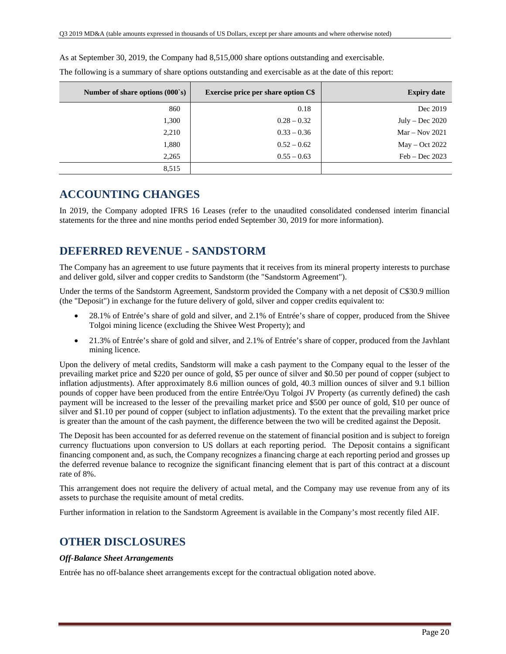As at September 30, 2019, the Company had 8,515,000 share options outstanding and exercisable.

| Number of share options $(000 \text{ s})$ | <b>Exercise price per share option C\$</b> | <b>Expiry date</b> |
|-------------------------------------------|--------------------------------------------|--------------------|
| 860                                       | 0.18                                       | Dec 2019           |
| 1,300                                     | $0.28 - 0.32$                              | July – Dec $2020$  |
| 2,210                                     | $0.33 - 0.36$                              | $Mar - Nov 2021$   |
| 1,880                                     | $0.52 - 0.62$                              | $May - Oct 2022$   |
| 2,265                                     | $0.55 - 0.63$                              | $Feb - Dec 2023$   |
| 8,515                                     |                                            |                    |

The following is a summary of share options outstanding and exercisable as at the date of this report:

# **ACCOUNTING CHANGES**

In 2019, the Company adopted IFRS 16 Leases (refer to the unaudited consolidated condensed interim financial statements for the three and nine months period ended September 30, 2019 for more information).

# **DEFERRED REVENUE - SANDSTORM**

The Company has an agreement to use future payments that it receives from its mineral property interests to purchase and deliver gold, silver and copper credits to Sandstorm (the "Sandstorm Agreement").

Under the terms of the Sandstorm Agreement, Sandstorm provided the Company with a net deposit of C\$30.9 million (the "Deposit") in exchange for the future delivery of gold, silver and copper credits equivalent to:

- 28.1% of Entrée's share of gold and silver, and 2.1% of Entrée's share of copper, produced from the Shivee Tolgoi mining licence (excluding the Shivee West Property); and
- 21.3% of Entrée's share of gold and silver, and 2.1% of Entrée's share of copper, produced from the Javhlant mining licence.

Upon the delivery of metal credits, Sandstorm will make a cash payment to the Company equal to the lesser of the prevailing market price and \$220 per ounce of gold, \$5 per ounce of silver and \$0.50 per pound of copper (subject to inflation adjustments). After approximately 8.6 million ounces of gold, 40.3 million ounces of silver and 9.1 billion pounds of copper have been produced from the entire Entrée/Oyu Tolgoi JV Property (as currently defined) the cash payment will be increased to the lesser of the prevailing market price and \$500 per ounce of gold, \$10 per ounce of silver and \$1.10 per pound of copper (subject to inflation adjustments). To the extent that the prevailing market price is greater than the amount of the cash payment, the difference between the two will be credited against the Deposit.

The Deposit has been accounted for as deferred revenue on the statement of financial position and is subject to foreign currency fluctuations upon conversion to US dollars at each reporting period. The Deposit contains a significant financing component and, as such, the Company recognizes a financing charge at each reporting period and grosses up the deferred revenue balance to recognize the significant financing element that is part of this contract at a discount rate of 8%.

This arrangement does not require the delivery of actual metal, and the Company may use revenue from any of its assets to purchase the requisite amount of metal credits.

Further information in relation to the Sandstorm Agreement is available in the Company's most recently filed AIF.

# **OTHER DISCLOSURES**

## *Off-Balance Sheet Arrangements*

Entrée has no off-balance sheet arrangements except for the contractual obligation noted above.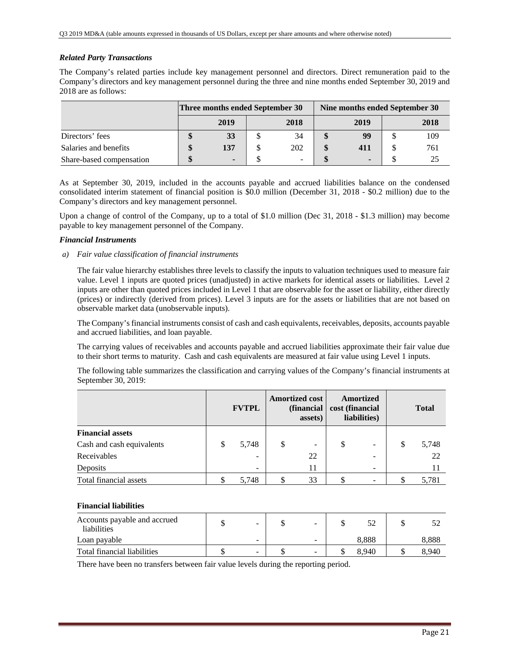## *Related Party Transactions*

The Company's related parties include key management personnel and directors. Direct remuneration paid to the Company's directors and key management personnel during the three and nine months ended September 30, 2019 and 2018 are as follows:

|                          | Three months ended September 30 |                          | Nine months ended September 30 |      |  |      |  |
|--------------------------|---------------------------------|--------------------------|--------------------------------|------|--|------|--|
|                          | 2019                            | 2018                     |                                | 2019 |  | 2018 |  |
| Directors' fees          | 33                              | 34                       |                                | 99   |  | 109  |  |
| Salaries and benefits    | 137                             | 202                      |                                | 411  |  | 761  |  |
| Share-based compensation | $\blacksquare$                  | $\overline{\phantom{a}}$ |                                |      |  | 25   |  |

As at September 30, 2019, included in the accounts payable and accrued liabilities balance on the condensed consolidated interim statement of financial position is \$0.0 million (December 31, 2018 - \$0.2 million) due to the Company's directors and key management personnel.

Upon a change of control of the Company, up to a total of \$1.0 million (Dec 31, 2018 - \$1.3 million) may become payable to key management personnel of the Company.

### *Financial Instruments*

*a) Fair value classification of financial instruments* 

The fair value hierarchy establishes three levels to classify the inputs to valuation techniques used to measure fair value. Level 1 inputs are quoted prices (unadjusted) in active markets for identical assets or liabilities. Level 2 inputs are other than quoted prices included in Level 1 that are observable for the asset or liability, either directly (prices) or indirectly (derived from prices). Level 3 inputs are for the assets or liabilities that are not based on observable market data (unobservable inputs).

The Company's financial instruments consist of cash and cash equivalents, receivables, deposits, accounts payable and accrued liabilities, and loan payable.

The carrying values of receivables and accounts payable and accrued liabilities approximate their fair value due to their short terms to maturity. Cash and cash equivalents are measured at fair value using Level 1 inputs.

The following table summarizes the classification and carrying values of the Company's financial instruments at September 30, 2019:

|                           | <b>FVTPL</b>             | <b>Amortized cost</b><br>(financial)<br>assets) |    | <b>Amortized</b><br>cost (financial<br>liabilities) |                   | <b>Total</b> |       |
|---------------------------|--------------------------|-------------------------------------------------|----|-----------------------------------------------------|-------------------|--------------|-------|
| <b>Financial assets</b>   |                          |                                                 |    |                                                     |                   |              |       |
| Cash and cash equivalents | \$<br>5,748              | S                                               | -  | \$                                                  | $\qquad \qquad -$ | \$           | 5,748 |
| Receivables               | $\qquad \qquad$          |                                                 | 22 |                                                     |                   |              | 22    |
| Deposits                  | $\overline{\phantom{0}}$ |                                                 | 11 |                                                     |                   |              | 11    |
| Total financial assets    | 5,748                    |                                                 | 33 |                                                     |                   |              | 5,781 |

## **Financial liabilities**

| Accounts payable and accrued<br>liabilities | -                        | -                        |       |       |
|---------------------------------------------|--------------------------|--------------------------|-------|-------|
| Loan payable                                | $\overline{\phantom{a}}$ | $\overline{\phantom{0}}$ | 8.888 | 8.888 |
| Total financial liabilities                 | $\overline{\phantom{a}}$ | $\equiv$                 | 8.940 | 8.940 |

There have been no transfers between fair value levels during the reporting period.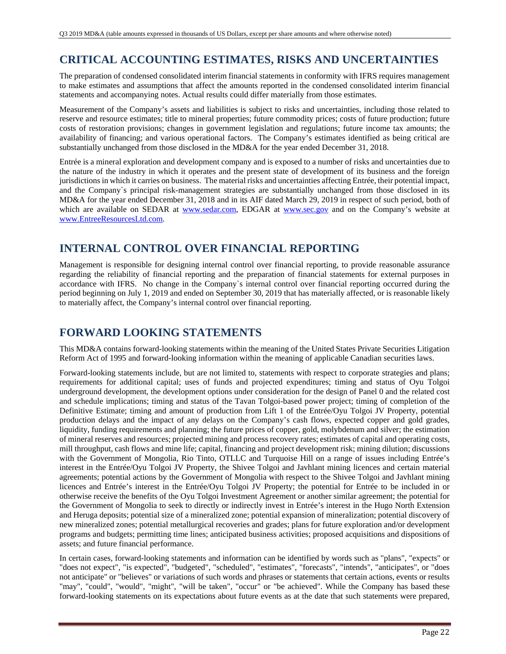# **CRITICAL ACCOUNTING ESTIMATES, RISKS AND UNCERTAINTIES**

The preparation of condensed consolidated interim financial statements in conformity with IFRS requires management to make estimates and assumptions that affect the amounts reported in the condensed consolidated interim financial statements and accompanying notes. Actual results could differ materially from those estimates.

Measurement of the Company's assets and liabilities is subject to risks and uncertainties, including those related to reserve and resource estimates; title to mineral properties; future commodity prices; costs of future production; future costs of restoration provisions; changes in government legislation and regulations; future income tax amounts; the availability of financing; and various operational factors. The Company's estimates identified as being critical are substantially unchanged from those disclosed in the MD&A for the year ended December 31, 2018.

Entrée is a mineral exploration and development company and is exposed to a number of risks and uncertainties due to the nature of the industry in which it operates and the present state of development of its business and the foreign jurisdictions in which it carries on business. The material risks and uncertainties affecting Entrée, their potential impact, and the Company`s principal risk-management strategies are substantially unchanged from those disclosed in its MD&A for the year ended December 31, 2018 and in its AIF dated March 29, 2019 in respect of such period, both of which are available on SEDAR at www.sedar.com, EDGAR at www.sec.gov and on the Company's website at www.EntreeResourcesLtd.com.

# **INTERNAL CONTROL OVER FINANCIAL REPORTING**

Management is responsible for designing internal control over financial reporting, to provide reasonable assurance regarding the reliability of financial reporting and the preparation of financial statements for external purposes in accordance with IFRS. No change in the Company`s internal control over financial reporting occurred during the period beginning on July 1, 2019 and ended on September 30, 2019 that has materially affected, or is reasonable likely to materially affect, the Company's internal control over financial reporting.

# **FORWARD LOOKING STATEMENTS**

This MD&A contains forward-looking statements within the meaning of the United States Private Securities Litigation Reform Act of 1995 and forward-looking information within the meaning of applicable Canadian securities laws.

Forward-looking statements include, but are not limited to, statements with respect to corporate strategies and plans; requirements for additional capital; uses of funds and projected expenditures; timing and status of Oyu Tolgoi underground development, the development options under consideration for the design of Panel 0 and the related cost and schedule implications; timing and status of the Tavan Tolgoi-based power project; timing of completion of the Definitive Estimate; timing and amount of production from Lift 1 of the Entrée/Oyu Tolgoi JV Property, potential production delays and the impact of any delays on the Company's cash flows, expected copper and gold grades, liquidity, funding requirements and planning; the future prices of copper, gold, molybdenum and silver; the estimation of mineral reserves and resources; projected mining and process recovery rates; estimates of capital and operating costs, mill throughput, cash flows and mine life; capital, financing and project development risk; mining dilution; discussions with the Government of Mongolia, Rio Tinto, OTLLC and Turquoise Hill on a range of issues including Entrée's interest in the Entrée/Oyu Tolgoi JV Property, the Shivee Tolgoi and Javhlant mining licences and certain material agreements; potential actions by the Government of Mongolia with respect to the Shivee Tolgoi and Javhlant mining licences and Entrée's interest in the Entrée/Oyu Tolgoi JV Property; the potential for Entrée to be included in or otherwise receive the benefits of the Oyu Tolgoi Investment Agreement or another similar agreement; the potential for the Government of Mongolia to seek to directly or indirectly invest in Entrée's interest in the Hugo North Extension and Heruga deposits; potential size of a mineralized zone; potential expansion of mineralization; potential discovery of new mineralized zones; potential metallurgical recoveries and grades; plans for future exploration and/or development programs and budgets; permitting time lines; anticipated business activities; proposed acquisitions and dispositions of assets; and future financial performance.

In certain cases, forward-looking statements and information can be identified by words such as "plans", "expects" or "does not expect", "is expected", "budgeted", "scheduled", "estimates", "forecasts", "intends", "anticipates", or "does not anticipate" or "believes" or variations of such words and phrases or statements that certain actions, events or results "may", "could", "would", "might", "will be taken", "occur" or "be achieved". While the Company has based these forward-looking statements on its expectations about future events as at the date that such statements were prepared,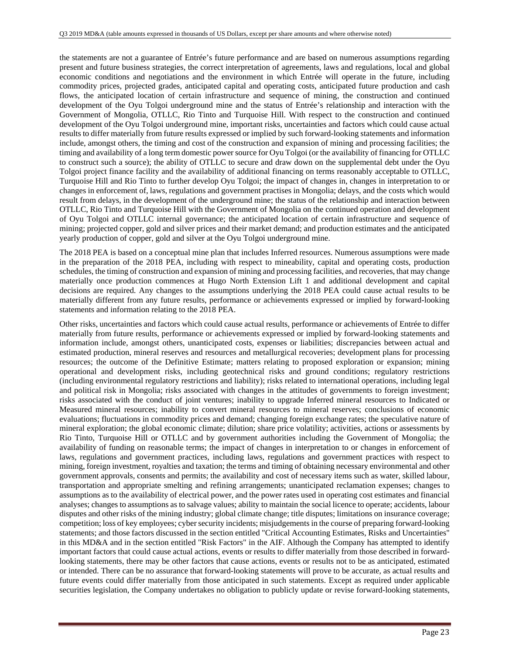the statements are not a guarantee of Entrée's future performance and are based on numerous assumptions regarding present and future business strategies, the correct interpretation of agreements, laws and regulations, local and global economic conditions and negotiations and the environment in which Entrée will operate in the future, including commodity prices, projected grades, anticipated capital and operating costs, anticipated future production and cash flows, the anticipated location of certain infrastructure and sequence of mining, the construction and continued development of the Oyu Tolgoi underground mine and the status of Entrée's relationship and interaction with the Government of Mongolia, OTLLC, Rio Tinto and Turquoise Hill. With respect to the construction and continued development of the Oyu Tolgoi underground mine, important risks, uncertainties and factors which could cause actual results to differ materially from future results expressed or implied by such forward-looking statements and information include, amongst others, the timing and cost of the construction and expansion of mining and processing facilities; the timing and availability of a long term domestic power source for Oyu Tolgoi (or the availability of financing for OTLLC to construct such a source); the ability of OTLLC to secure and draw down on the supplemental debt under the Oyu Tolgoi project finance facility and the availability of additional financing on terms reasonably acceptable to OTLLC, Turquoise Hill and Rio Tinto to further develop Oyu Tolgoi; the impact of changes in, changes in interpretation to or changes in enforcement of, laws, regulations and government practises in Mongolia; delays, and the costs which would result from delays, in the development of the underground mine; the status of the relationship and interaction between OTLLC, Rio Tinto and Turquoise Hill with the Government of Mongolia on the continued operation and development of Oyu Tolgoi and OTLLC internal governance; the anticipated location of certain infrastructure and sequence of mining; projected copper, gold and silver prices and their market demand; and production estimates and the anticipated yearly production of copper, gold and silver at the Oyu Tolgoi underground mine.

The 2018 PEA is based on a conceptual mine plan that includes Inferred resources. Numerous assumptions were made in the preparation of the 2018 PEA, including with respect to mineability, capital and operating costs, production schedules, the timing of construction and expansion of mining and processing facilities, and recoveries, that may change materially once production commences at Hugo North Extension Lift 1 and additional development and capital decisions are required. Any changes to the assumptions underlying the 2018 PEA could cause actual results to be materially different from any future results, performance or achievements expressed or implied by forward-looking statements and information relating to the 2018 PEA.

Other risks, uncertainties and factors which could cause actual results, performance or achievements of Entrée to differ materially from future results, performance or achievements expressed or implied by forward-looking statements and information include, amongst others, unanticipated costs, expenses or liabilities; discrepancies between actual and estimated production, mineral reserves and resources and metallurgical recoveries; development plans for processing resources; the outcome of the Definitive Estimate; matters relating to proposed exploration or expansion; mining operational and development risks, including geotechnical risks and ground conditions; regulatory restrictions (including environmental regulatory restrictions and liability); risks related to international operations, including legal and political risk in Mongolia; risks associated with changes in the attitudes of governments to foreign investment; risks associated with the conduct of joint ventures; inability to upgrade Inferred mineral resources to Indicated or Measured mineral resources; inability to convert mineral resources to mineral reserves; conclusions of economic evaluations; fluctuations in commodity prices and demand; changing foreign exchange rates; the speculative nature of mineral exploration; the global economic climate; dilution; share price volatility; activities, actions or assessments by Rio Tinto, Turquoise Hill or OTLLC and by government authorities including the Government of Mongolia; the availability of funding on reasonable terms; the impact of changes in interpretation to or changes in enforcement of laws, regulations and government practices, including laws, regulations and government practices with respect to mining, foreign investment, royalties and taxation; the terms and timing of obtaining necessary environmental and other government approvals, consents and permits; the availability and cost of necessary items such as water, skilled labour, transportation and appropriate smelting and refining arrangements; unanticipated reclamation expenses; changes to assumptions as to the availability of electrical power, and the power rates used in operating cost estimates and financial analyses; changes to assumptions as to salvage values; ability to maintain the social licence to operate; accidents, labour disputes and other risks of the mining industry; global climate change; title disputes; limitations on insurance coverage; competition; loss of key employees; cyber security incidents; misjudgements in the course of preparing forward-looking statements; and those factors discussed in the section entitled "Critical Accounting Estimates, Risks and Uncertainties" in this MD&A and in the section entitled "Risk Factors" in the AIF. Although the Company has attempted to identify important factors that could cause actual actions, events or results to differ materially from those described in forwardlooking statements, there may be other factors that cause actions, events or results not to be as anticipated, estimated or intended. There can be no assurance that forward-looking statements will prove to be accurate, as actual results and future events could differ materially from those anticipated in such statements. Except as required under applicable securities legislation, the Company undertakes no obligation to publicly update or revise forward-looking statements,